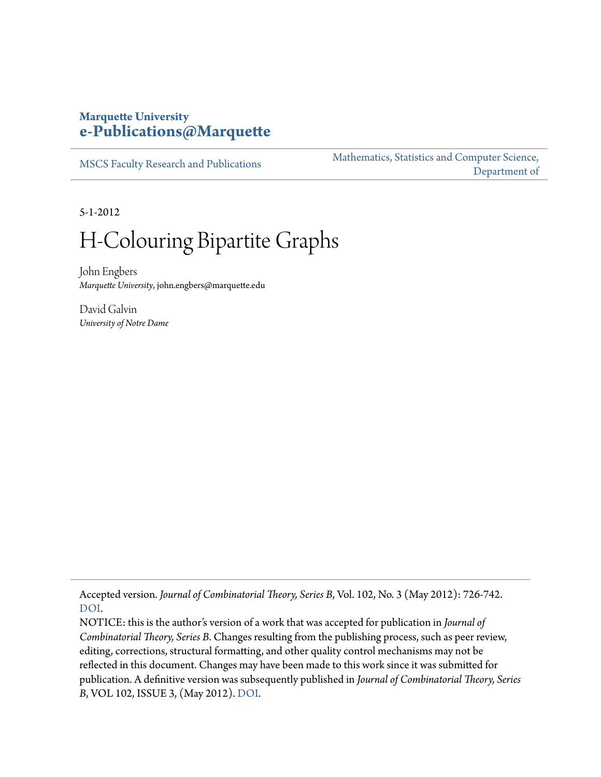#### **Marquette University [e-Publications@Marquette](http://epublications.marquette.edu)**

[MSCS Faculty Research and Publications](http://epublications.marquette.edu/mscs_fac)

[Mathematics, Statistics and Computer Science,](http://epublications.marquette.edu/mscs) [Department of](http://epublications.marquette.edu/mscs)

5-1-2012

# H-Colouring Bipartite Graphs

John Engbers *Marquette University*, john.engbers@marquette.edu

David Galvin *University of Notre Dame*

Accepted version. *Journal of Combinatorial Theory, Series B*, Vol. 102, No. 3 (May 2012): 726-742. [DOI](http://dx.doi.org/10.1016/j.jctb.2011.12.004).

NOTICE: this is the author's version of a work that was accepted for publication in *Journal of Combinatorial Theory, Series B*. Changes resulting from the publishing process, such as peer review, editing, corrections, structural formatting, and other quality control mechanisms may not be reflected in this document. Changes may have been made to this work since it was submitted for publication. A definitive version was subsequently published in *Journal of Combinatorial Theory, Series B*, VOL 102, ISSUE 3, (May 2012). [DOI](http://dx.doi.org/10.1016/j.jctb.2011.12.004).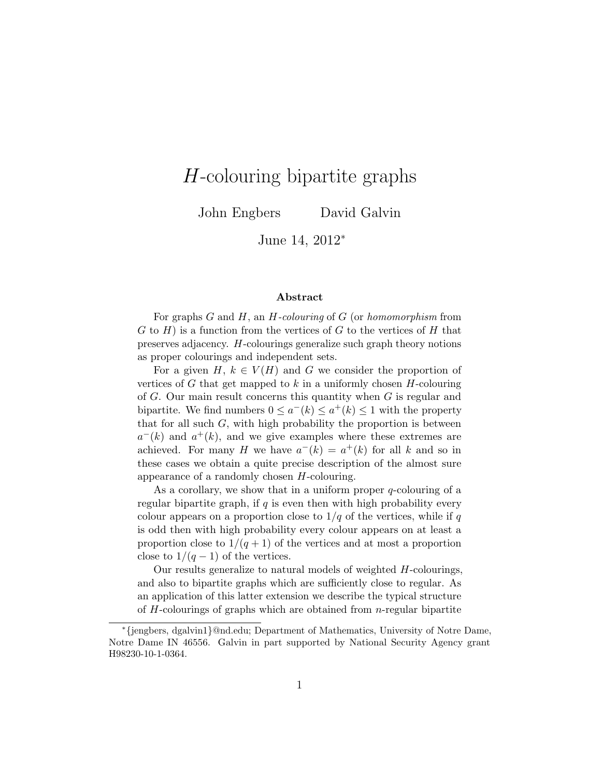## H-colouring bipartite graphs

John Engbers David Galvin

June 14, 2012<sup>∗</sup>

#### Abstract

For graphs  $G$  and  $H$ , an  $H$ -colouring of  $G$  (or homomorphism from  $G$  to  $H$ ) is a function from the vertices of G to the vertices of H that preserves adjacency. H-colourings generalize such graph theory notions as proper colourings and independent sets.

For a given H,  $k \in V(H)$  and G we consider the proportion of vertices of  $G$  that get mapped to  $k$  in a uniformly chosen  $H$ -colouring of G. Our main result concerns this quantity when G is regular and bipartite. We find numbers  $0 \leq a^{-1}(k) \leq a^{+1}(k) \leq 1$  with the property that for all such  $G$ , with high probability the proportion is between  $a^{-}(k)$  and  $a^{+}(k)$ , and we give examples where these extremes are achieved. For many H we have  $a^{-}(k) = a^{+}(k)$  for all k and so in these cases we obtain a quite precise description of the almost sure appearance of a randomly chosen H-colouring.

As a corollary, we show that in a uniform proper q-colouring of a regular bipartite graph, if  $q$  is even then with high probability every colour appears on a proportion close to  $1/q$  of the vertices, while if q is odd then with high probability every colour appears on at least a proportion close to  $1/(q+1)$  of the vertices and at most a proportion close to  $1/(q-1)$  of the vertices.

Our results generalize to natural models of weighted H-colourings, and also to bipartite graphs which are sufficiently close to regular. As an application of this latter extension we describe the typical structure of  $H$ -colourings of graphs which are obtained from  $n$ -regular bipartite

<sup>∗</sup>{jengbers, dgalvin1}@nd.edu; Department of Mathematics, University of Notre Dame, Notre Dame IN 46556. Galvin in part supported by National Security Agency grant H98230-10-1-0364.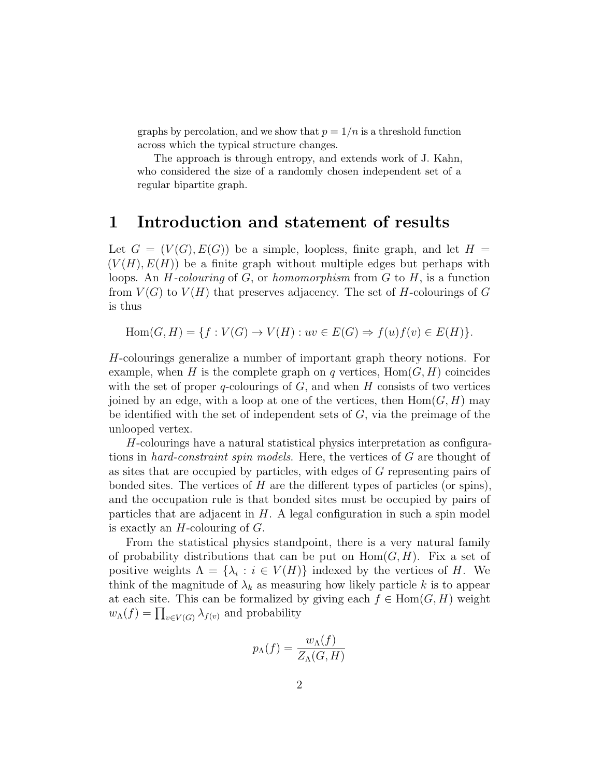graphs by percolation, and we show that  $p = 1/n$  is a threshold function across which the typical structure changes.

The approach is through entropy, and extends work of J. Kahn, who considered the size of a randomly chosen independent set of a regular bipartite graph.

#### 1 Introduction and statement of results

Let  $G = (V(G), E(G))$  be a simple, loopless, finite graph, and let  $H =$  $(V(H), E(H))$  be a finite graph without multiple edges but perhaps with loops. An  $H$ -colouring of  $G$ , or homomorphism from  $G$  to  $H$ , is a function from  $V(G)$  to  $V(H)$  that preserves adjacency. The set of H-colourings of G is thus

 $Hom(G, H) = \{f : V(G) \rightarrow V(H) : uv \in E(G) \Rightarrow f(u)f(v) \in E(H)\}.$ 

H-colourings generalize a number of important graph theory notions. For example, when H is the complete graph on q vertices,  $Hom(G, H)$  coincides with the set of proper  $q$ -colourings of  $G$ , and when  $H$  consists of two vertices joined by an edge, with a loop at one of the vertices, then  $\text{Hom}(G, H)$  may be identified with the set of independent sets of  $G$ , via the preimage of the unlooped vertex.

H-colourings have a natural statistical physics interpretation as configurations in hard-constraint spin models. Here, the vertices of G are thought of as sites that are occupied by particles, with edges of G representing pairs of bonded sites. The vertices of  $H$  are the different types of particles (or spins), and the occupation rule is that bonded sites must be occupied by pairs of particles that are adjacent in  $H$ . A legal configuration in such a spin model is exactly an  $H$ -colouring of  $G$ .

From the statistical physics standpoint, there is a very natural family of probability distributions that can be put on  $Hom(G, H)$ . Fix a set of positive weights  $\Lambda = {\lambda_i : i \in V(H)}$  indexed by the vertices of H. We think of the magnitude of  $\lambda_k$  as measuring how likely particle k is to appear at each site. This can be formalized by giving each  $f \in Hom(G, H)$  weight  $w_{\Lambda}(f) = \prod_{v \in V(G)} \lambda_{f(v)}$  and probability

$$
p_{\Lambda}(f) = \frac{w_{\Lambda}(f)}{Z_{\Lambda}(G, H)}
$$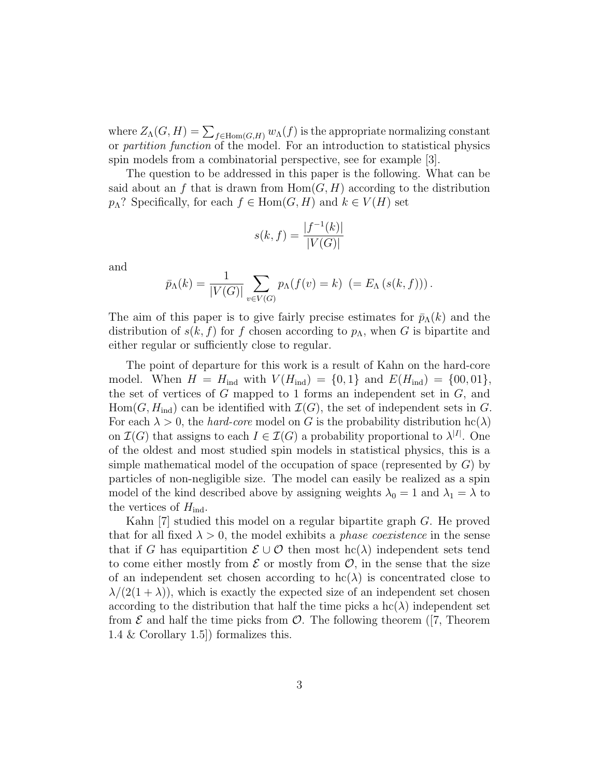where  $Z_{\Lambda}(G,H) = \sum_{f \in \text{Hom}(G,H)} w_{\Lambda}(f)$  is the appropriate normalizing constant or partition function of the model. For an introduction to statistical physics spin models from a combinatorial perspective, see for example [3].

The question to be addressed in this paper is the following. What can be said about an f that is drawn from  $\text{Hom}(G, H)$  according to the distribution  $p_{\Lambda}$ ? Specifically, for each  $f \in \text{Hom}(G, H)$  and  $k \in V(H)$  set

$$
s(k, f) = \frac{|f^{-1}(k)|}{|V(G)|}
$$

and

$$
\bar{p}_{\Lambda}(k) = \frac{1}{|V(G)|} \sum_{v \in V(G)} p_{\Lambda}(f(v) = k) \ \left(= E_{\Lambda}(s(k, f))\right).
$$

The aim of this paper is to give fairly precise estimates for  $\bar{p}_{\Lambda}(k)$  and the distribution of  $s(k, f)$  for f chosen according to  $p_{\Lambda}$ , when G is bipartite and either regular or sufficiently close to regular.

The point of departure for this work is a result of Kahn on the hard-core model. When  $H = H_{ind}$  with  $V(H_{ind}) = \{0, 1\}$  and  $E(H_{ind}) = \{00, 01\},$ the set of vertices of  $G$  mapped to 1 forms an independent set in  $G$ , and  $Hom(G, H_{ind})$  can be identified with  $\mathcal{I}(G)$ , the set of independent sets in G. For each  $\lambda > 0$ , the *hard-core* model on G is the probability distribution hc( $\lambda$ ) on  $\mathcal{I}(G)$  that assigns to each  $I \in \mathcal{I}(G)$  a probability proportional to  $\lambda^{|I|}$ . One of the oldest and most studied spin models in statistical physics, this is a simple mathematical model of the occupation of space (represented by  $G$ ) by particles of non-negligible size. The model can easily be realized as a spin model of the kind described above by assigning weights  $\lambda_0 = 1$  and  $\lambda_1 = \lambda$  to the vertices of  $H_{\text{ind}}$ .

Kahn [7] studied this model on a regular bipartite graph G. He proved that for all fixed  $\lambda > 0$ , the model exhibits a *phase coexistence* in the sense that if G has equipartition  $\mathcal{E} \cup \mathcal{O}$  then most hc( $\lambda$ ) independent sets tend to come either mostly from  $\mathcal E$  or mostly from  $\mathcal O$ , in the sense that the size of an independent set chosen according to  $\text{hc}(\lambda)$  is concentrated close to  $\lambda/(2(1+\lambda))$ , which is exactly the expected size of an independent set chosen according to the distribution that half the time picks a  $\text{hc}(\lambda)$  independent set from  $\mathcal E$  and half the time picks from  $\mathcal O$ . The following theorem ([7, Theorem 1.4 & Corollary 1.5]) formalizes this.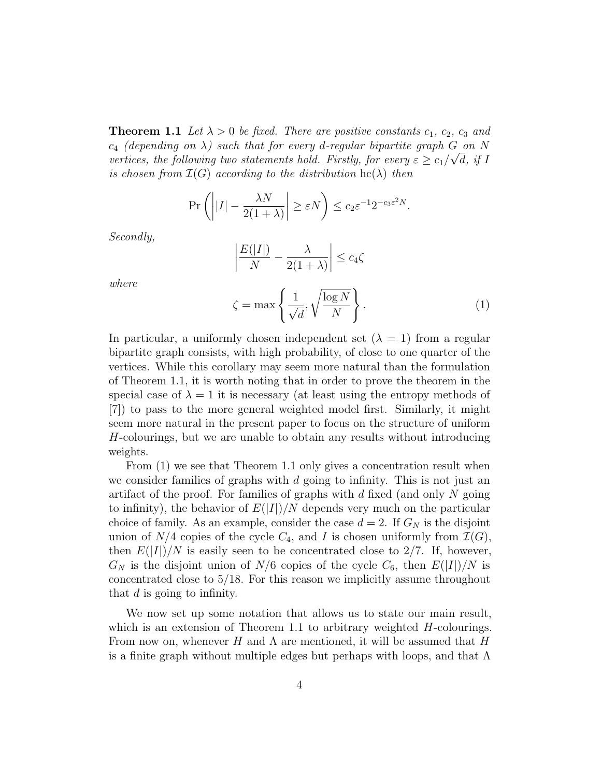**Theorem 1.1** Let  $\lambda > 0$  be fixed. There are positive constants  $c_1$ ,  $c_2$ ,  $c_3$  and  $c_4$  (depending on  $\lambda$ ) such that for every d-regular bipartite graph  $G$  on  $N$ vertices, the following two statements hold. Firstly, for every  $\varepsilon \geq c_1/\sqrt{d}$ , if I is chosen from  $\mathcal{I}(G)$  according to the distribution  $\mathrm{hc}(\lambda)$  then

$$
\Pr\left(\left||I| - \frac{\lambda N}{2(1+\lambda)}\right| \ge \varepsilon N\right) \le c_2 \varepsilon^{-1} 2^{-c_3 \varepsilon^2 N}.
$$

Secondly,

where

$$
\left| \frac{E(|I|)}{N} - \frac{\lambda}{2(1+\lambda)} \right| \le c_4 \zeta
$$
  

$$
\zeta = \max \left\{ \frac{1}{\sqrt{d}}, \sqrt{\frac{\log N}{N}} \right\}.
$$
 (1)

In particular, a uniformly chosen independent set  $(\lambda = 1)$  from a regular bipartite graph consists, with high probability, of close to one quarter of the vertices. While this corollary may seem more natural than the formulation of Theorem 1.1, it is worth noting that in order to prove the theorem in the special case of  $\lambda = 1$  it is necessary (at least using the entropy methods of [7]) to pass to the more general weighted model first. Similarly, it might seem more natural in the present paper to focus on the structure of uniform H-colourings, but we are unable to obtain any results without introducing weights.

From (1) we see that Theorem 1.1 only gives a concentration result when we consider families of graphs with  $d$  going to infinity. This is not just an artifact of the proof. For families of graphs with  $d$  fixed (and only  $N$  going to infinity), the behavior of  $E(|I|)/N$  depends very much on the particular choice of family. As an example, consider the case  $d = 2$ . If  $G_N$  is the disjoint union of  $N/4$  copies of the cycle  $C_4$ , and I is chosen uniformly from  $\mathcal{I}(G)$ , then  $E(|I|)/N$  is easily seen to be concentrated close to 2/7. If, however,  $G_N$  is the disjoint union of  $N/6$  copies of the cycle  $C_6$ , then  $E(|I|)/N$  is concentrated close to 5/18. For this reason we implicitly assume throughout that d is going to infinity.

We now set up some notation that allows us to state our main result, which is an extension of Theorem 1.1 to arbitrary weighted  $H$ -colourings. From now on, whenever H and  $\Lambda$  are mentioned, it will be assumed that H is a finite graph without multiple edges but perhaps with loops, and that  $\Lambda$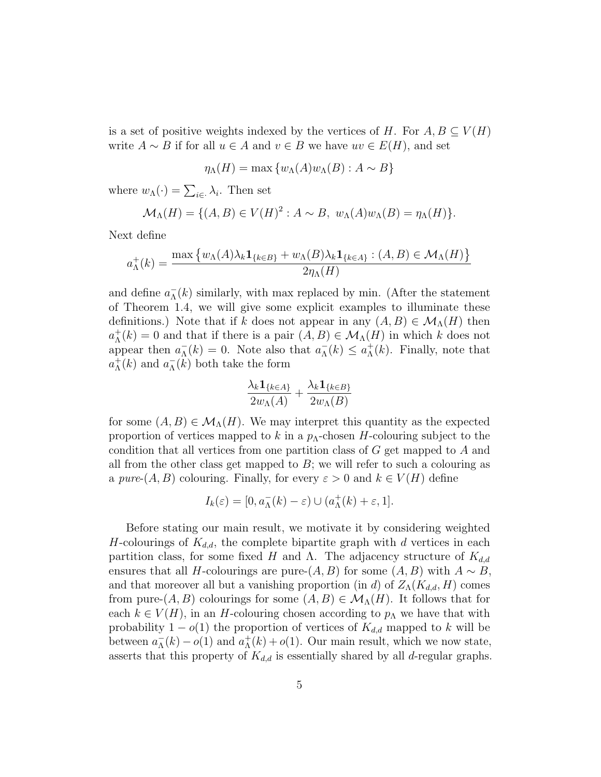is a set of positive weights indexed by the vertices of H. For  $A, B \subseteq V(H)$ write  $A \sim B$  if for all  $u \in A$  and  $v \in B$  we have  $uv \in E(H)$ , and set

$$
\eta_{\Lambda}(H) = \max \{ w_{\Lambda}(A) w_{\Lambda}(B) : A \sim B \}
$$

where  $w_{\Lambda}(\cdot) = \sum_{i \in \Lambda} \lambda_i$ . Then set

$$
\mathcal{M}_{\Lambda}(H) = \{ (A, B) \in V(H)^2 : A \sim B, w_{\Lambda}(A)w_{\Lambda}(B) = \eta_{\Lambda}(H) \}.
$$

Next define

$$
a_{\Lambda}^{+}(k) = \frac{\max \left\{ w_{\Lambda}(A)\lambda_{k}\mathbf{1}_{\{k\in B\}} + w_{\Lambda}(B)\lambda_{k}\mathbf{1}_{\{k\in A\}} : (A, B) \in \mathcal{M}_{\Lambda}(H) \right\}}{2\eta_{\Lambda}(H)}
$$

and define  $a_{\Lambda}^ \overline{\Lambda}(k)$  similarly, with max replaced by min. (After the statement of Theorem 1.4, we will give some explicit examples to illuminate these definitions.) Note that if k does not appear in any  $(A, B) \in \mathcal{M}_{\Lambda}(H)$  then  $a_{\Lambda}^+$  $\Lambda^+(k) = 0$  and that if there is a pair  $(A, B) \in \mathcal{M}_{\Lambda}(H)$  in which k does not appear then  $a_{\Lambda}^ \overline{\Lambda}(k) = 0$ . Note also that  $a_{\Lambda}^{-}$  $\overline{\Lambda}(k) \leq a_{\Lambda}^+$  $_{\Lambda}^{+}(k)$ . Finally, note that  $a_{\Lambda}^+$  $_{\Lambda}^{+}(k)$  and  $a_{\Lambda}^{-}$  $\overline{\Lambda}(k)$  both take the form

$$
\frac{\lambda_k \mathbf{1}_{\{k \in A\}}}{2w_\Lambda(A)} + \frac{\lambda_k \mathbf{1}_{\{k \in B\}}}{2w_\Lambda(B)}
$$

for some  $(A, B) \in \mathcal{M}_{\Lambda}(H)$ . We may interpret this quantity as the expected proportion of vertices mapped to k in a  $p_{\Lambda}$ -chosen H-colouring subject to the condition that all vertices from one partition class of  $G$  get mapped to  $A$  and all from the other class get mapped to  $B$ ; we will refer to such a colouring as a pure- $(A, B)$  colouring. Finally, for every  $\varepsilon > 0$  and  $k \in V(H)$  define

$$
I_k(\varepsilon) = [0, a_{\Lambda}^-(k) - \varepsilon) \cup (a_{\Lambda}^+(k) + \varepsilon, 1].
$$

Before stating our main result, we motivate it by considering weighted H-colourings of  $K_{d,d}$ , the complete bipartite graph with d vertices in each partition class, for some fixed H and Λ. The adjacency structure of  $K_{d,d}$ ensures that all *H*-colourings are pure- $(A, B)$  for some  $(A, B)$  with  $A \sim B$ , and that moreover all but a vanishing proportion (in d) of  $Z<sub>\Lambda</sub>(K<sub>d,d</sub>, H)$  comes from pure- $(A, B)$  colourings for some  $(A, B) \in \mathcal{M}_{\Lambda}(H)$ . It follows that for each  $k \in V(H)$ , in an H-colouring chosen according to  $p_{\Lambda}$  we have that with probability  $1 - o(1)$  the proportion of vertices of  $K_{d,d}$  mapped to k will be between  $a_{\Lambda}^ \overline{\Lambda}(k) - o(1)$  and  $a_{\Lambda}^{+}$  ${}_{\Lambda}^{+}(k) + o(1)$ . Our main result, which we now state, asserts that this property of  $K_{d,d}$  is essentially shared by all d-regular graphs.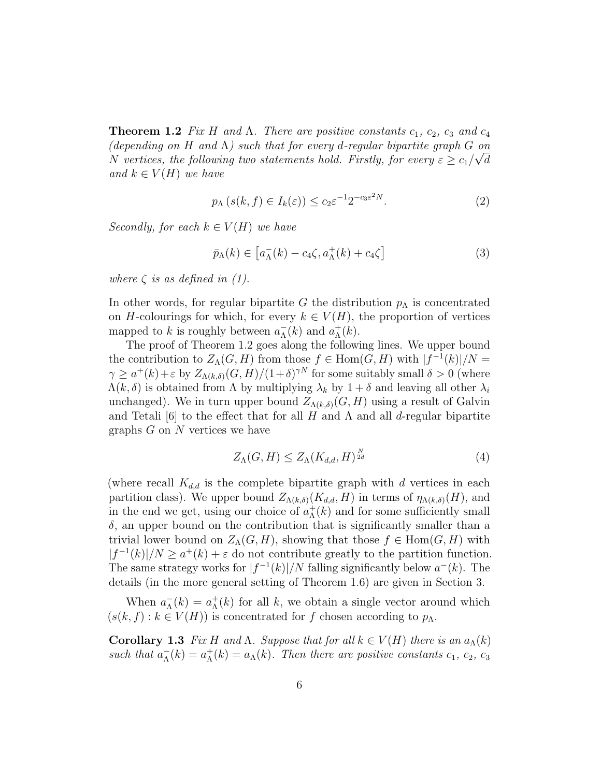**Theorem 1.2** Fix H and  $\Lambda$ . There are positive constants  $c_1$ ,  $c_2$ ,  $c_3$  and  $c_4$ (depending on H and  $\Lambda$ ) such that for every d-regular bipartite graph G on N vertices, the following two statements hold. Firstly, for every  $\varepsilon \geq c_1/\sqrt{d}$ and  $k \in V(H)$  we have

$$
p_{\Lambda}\left(s(k,f)\in I_k(\varepsilon)\right) \le c_2 \varepsilon^{-1} 2^{-c_3 \varepsilon^2 N}.\tag{2}
$$

Secondly, for each  $k \in V(H)$  we have

$$
\bar{p}_{\Lambda}(k) \in \left[a_{\Lambda}^{-}(k) - c_{4}\zeta, a_{\Lambda}^{+}(k) + c_{4}\zeta\right]
$$
\n(3)

where  $\zeta$  is as defined in (1).

In other words, for regular bipartite G the distribution  $p_{\Lambda}$  is concentrated on H-colourings for which, for every  $k \in V(H)$ , the proportion of vertices mapped to k is roughly between  $a_{\Lambda}^ _{\Lambda}^{-}(k)$  and  $a_{\Lambda}^{+}$  $^+_\Lambda(k)$ .

The proof of Theorem 1.2 goes along the following lines. We upper bound the contribution to  $Z_{\Lambda}(G, H)$  from those  $f \in \text{Hom}(G, H)$  with  $|f^{-1}(k)|/N =$  $\gamma \geq a^+(k) + \varepsilon$  by  $Z_{\Lambda(k,\delta)}(G,H)/(1+\delta)^{\gamma N}$  for some suitably small  $\delta > 0$  (where  $\Lambda(k,\delta)$  is obtained from  $\Lambda$  by multiplying  $\lambda_k$  by  $1+\delta$  and leaving all other  $\lambda_i$ unchanged). We in turn upper bound  $Z_{\Lambda(k,\delta)}(G, H)$  using a result of Galvin and Tetali [6] to the effect that for all H and  $\Lambda$  and all d-regular bipartite graphs  $G$  on  $N$  vertices we have

$$
Z_{\Lambda}(G, H) \le Z_{\Lambda}(K_{d,d}, H)^{\frac{N}{2d}} \tag{4}
$$

(where recall  $K_{d,d}$  is the complete bipartite graph with d vertices in each partition class). We upper bound  $Z_{\Lambda(k,\delta)}(K_{d,d}, H)$  in terms of  $\eta_{\Lambda(k,\delta)}(H)$ , and in the end we get, using our choice of  $a<sub>\Lambda</sub>^+$  $_{\Lambda}^{+}(k)$  and for some sufficiently small  $\delta$ , an upper bound on the contribution that is significantly smaller than a trivial lower bound on  $Z_{\Lambda}(G, H)$ , showing that those  $f \in \text{Hom}(G, H)$  with  $|f^{-1}(k)|/N \geq a^+(k) + \varepsilon$  do not contribute greatly to the partition function. The same strategy works for  $|f^{-1}(k)|/N$  falling significantly below  $a^{-}(k)$ . The details (in the more general setting of Theorem 1.6) are given in Section 3.

When  $a_{\Lambda}^ \overline{\Lambda}^{(k)} = a_{\Lambda}^{+}$  $\Lambda(k)$  for all k, we obtain a single vector around which  $(s(k, f) : k \in V(H))$  is concentrated for f chosen according to  $p_{\Lambda}$ .

Corollary 1.3 Fix H and Λ. Suppose that for all  $k \in V(H)$  there is an  $a_{\Lambda}(k)$ such that  $a_{\Lambda}^ \overline{\Lambda}(\overline{k}) = a_{\Lambda}^+$  $\Lambda(\kappa) = a_{\Lambda}(\kappa)$ . Then there are positive constants  $c_1, c_2, c_3$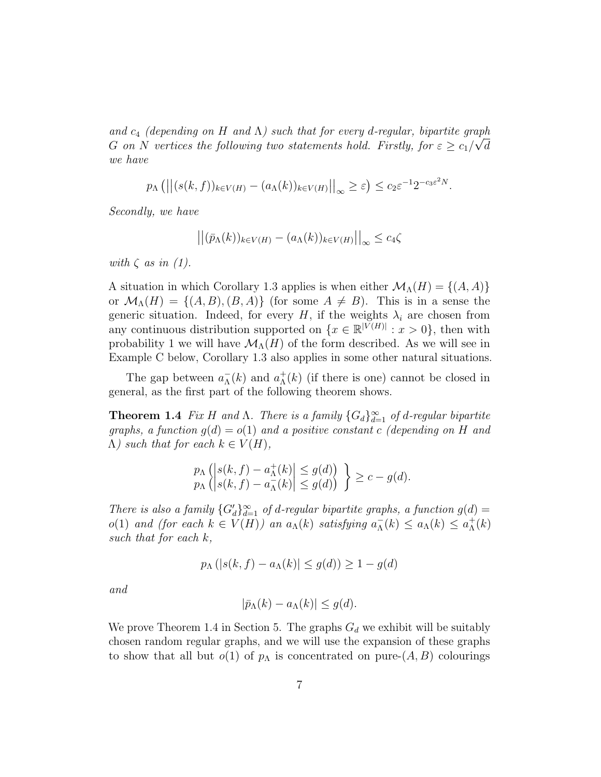and  $c_4$  (depending on H and  $\Lambda$ ) such that for every d-regular, bipartite graph G on N vertices the following two statements hold. Firstly, for  $\varepsilon \geq c_1/\sqrt{d}$ we have

$$
p_{\Lambda} (||(s(k, f))_{k \in V(H)} - (a_{\Lambda}(k))_{k \in V(H)}||_{\infty} \geq \varepsilon) \leq c_2 \varepsilon^{-1} 2^{-c_3 \varepsilon^2 N}.
$$

Secondly, we have

$$
\left| \left| (\bar{p}_\Lambda(k))_{k \in V(H)} - (a_\Lambda(k))_{k \in V(H)} \right| \right|_\infty \le c_4 \zeta
$$

with  $\zeta$  as in (1).

A situation in which Corollary 1.3 applies is when either  $\mathcal{M}_{\Lambda}(H) = \{(A, A)\}\$ or  $\mathcal{M}_{\Lambda}(H) = \{(A, B), (B, A)\}\$  (for some  $A \neq B$ ). This is in a sense the generic situation. Indeed, for every H, if the weights  $\lambda_i$  are chosen from any continuous distribution supported on  $\{x \in \mathbb{R}^{|V(H)|} : x > 0\}$ , then with probability 1 we will have  $\mathcal{M}_{\Lambda}(H)$  of the form described. As we will see in Example C below, Corollary 1.3 also applies in some other natural situations.

The gap between  $a_{\Lambda}^ _{\Lambda}^{-}(k)$  and  $a_{\Lambda}^{+}$  $\Lambda(k)$  (if there is one) cannot be closed in general, as the first part of the following theorem shows.

**Theorem 1.4** Fix H and  $\Lambda$ . There is a family  ${G_d}_{d=1}^{\infty}$  of d-regular bipartite graphs, a function  $g(d) = o(1)$  and a positive constant c (depending on H and  $\Lambda$ ) such that for each  $k \in V(H)$ ,

$$
p_{\Lambda} \left( \left| s(k, f) - a_{\Lambda}^{+}(k) \right| \le g(d) \right) \}
$$
  
\n $p_{\Lambda} \left( \left| s(k, f) - a_{\Lambda}^{-}(k) \right| \le g(d) \right) \} \ge c - g(d).$ 

There is also a family  ${G'_d}_{d=1}^{\infty}$  of d-regular bipartite graphs, a function  $g(d)$  =  $o(1)$  and (for each  $k \in V(H)$ ) an  $a_{\Lambda}(k)$  satisfying  $a_{\Lambda}^ \overline{\Lambda}_\Lambda(k) \leq a_\Lambda(k) \leq a_\Lambda^+$  $^+_\Lambda(k)$ such that for each k,

$$
p_{\Lambda}\left(|s(k,f)-a_{\Lambda}(k)|\leq g(d)\right)\geq 1-g(d)
$$

and

$$
|\bar{p}_{\Lambda}(k) - a_{\Lambda}(k)| \le g(d).
$$

We prove Theorem 1.4 in Section 5. The graphs  $G_d$  we exhibit will be suitably chosen random regular graphs, and we will use the expansion of these graphs to show that all but  $o(1)$  of  $p_{\Lambda}$  is concentrated on pure- $(A, B)$  colourings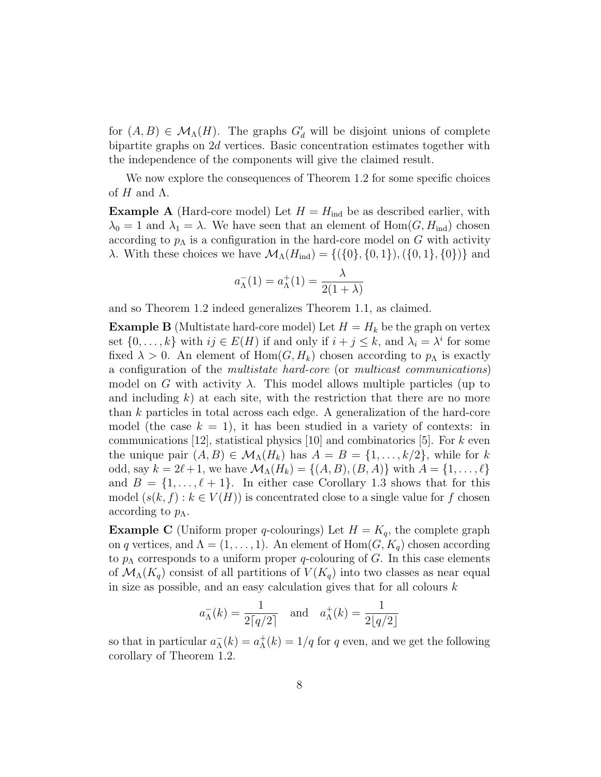for  $(A, B) \in \mathcal{M}_{\Lambda}(H)$ . The graphs  $G'_{d}$  will be disjoint unions of complete bipartite graphs on 2d vertices. Basic concentration estimates together with the independence of the components will give the claimed result.

We now explore the consequences of Theorem 1.2 for some specific choices of  $H$  and  $\Lambda$ .

**Example A** (Hard-core model) Let  $H = H_{ind}$  be as described earlier, with  $\lambda_0 = 1$  and  $\lambda_1 = \lambda$ . We have seen that an element of  $Hom(G, H_{\text{ind}})$  chosen according to  $p_{\Lambda}$  is a configuration in the hard-core model on G with activity λ. With these choices we have  $\mathcal{M}_{\Lambda}(H_{\text{ind}}) = \{(\{0\}, \{0, 1\}), (\{0, 1\}, \{0\})\}$  and

$$
a_{\Lambda}^-(1) = a_{\Lambda}^+(1) = \frac{\lambda}{2(1+\lambda)}
$$

and so Theorem 1.2 indeed generalizes Theorem 1.1, as claimed.

**Example B** (Multistate hard-core model) Let  $H = H_k$  be the graph on vertex set  $\{0, \ldots, k\}$  with  $ij \in E(H)$  if and only if  $i + j \leq k$ , and  $\lambda_i = \lambda^i$  for some fixed  $\lambda > 0$ . An element of Hom $(G, H_k)$  chosen according to  $p_\Lambda$  is exactly a configuration of the multistate hard-core (or multicast communications) model on G with activity  $\lambda$ . This model allows multiple particles (up to and including  $k$ ) at each site, with the restriction that there are no more than k particles in total across each edge. A generalization of the hard-core model (the case  $k = 1$ ), it has been studied in a variety of contexts: in communications [12], statistical physics [10] and combinatorics [5]. For  $k$  even the unique pair  $(A, B) \in \mathcal{M}_{\Lambda}(H_k)$  has  $A = B = \{1, \ldots, k/2\}$ , while for k odd, say  $k = 2\ell + 1$ , we have  $\mathcal{M}_{\Lambda}(H_k) = \{(A, B), (B, A)\}\$  with  $A = \{1, ..., \ell\}$ and  $B = \{1, \ldots, \ell + 1\}$ . In either case Corollary 1.3 shows that for this model  $(s(k, f): k \in V(H)$  is concentrated close to a single value for f chosen according to  $p_{\Lambda}$ .

**Example C** (Uniform proper q-colourings) Let  $H = K_q$ , the complete graph on q vertices, and  $\Lambda = (1, \ldots, 1)$ . An element of  $\text{Hom}(G, K_q)$  chosen according to  $p_{\Lambda}$  corresponds to a uniform proper q-colouring of G. In this case elements of  $\mathcal{M}_{\Lambda}(K_q)$  consist of all partitions of  $V(K_q)$  into two classes as near equal in size as possible, and an easy calculation gives that for all colours k

$$
a_{\Lambda}^{-}(k) = \frac{1}{2\lceil q/2 \rceil}
$$
 and  $a_{\Lambda}^{+}(k) = \frac{1}{2\lfloor q/2 \rfloor}$ 

so that in particular  $a_{\Lambda}^ \overline{\Lambda}(\overline{k}) = a_{\Lambda}^+$  $\Lambda(\kappa) = 1/q$  for q even, and we get the following corollary of Theorem 1.2.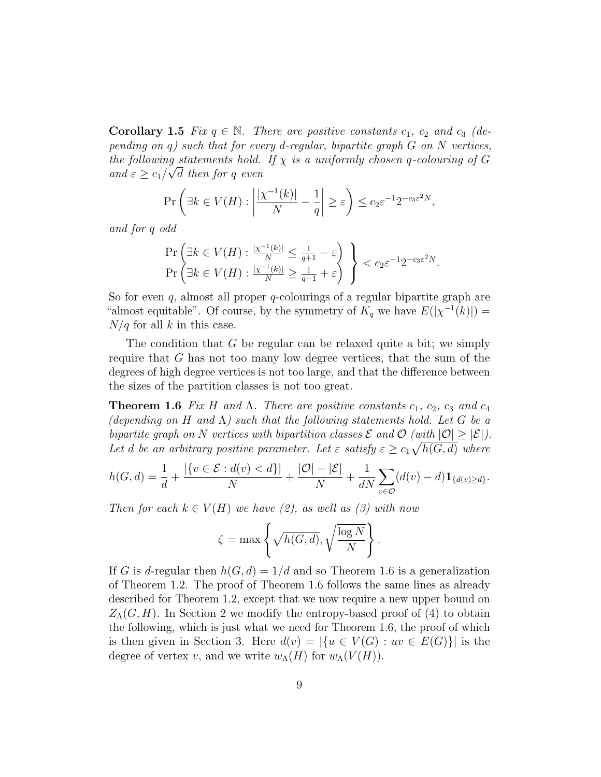**Corollary 1.5** Fix  $q \in \mathbb{N}$ . There are positive constants  $c_1$ ,  $c_2$  and  $c_3$  (depending on  $q$ ) such that for every d-regular, bipartite graph  $G$  on  $N$  vertices, the following statements hold. If  $\chi$  is a uniformly chosen q-colouring of G and  $\varepsilon \geq c_1/\sqrt{d}$  then for q even

$$
\Pr\left(\exists k \in V(H) : \left|\frac{|\chi^{-1}(k)|}{N} - \frac{1}{q}\right| \ge \varepsilon\right) \le c_2 \varepsilon^{-1} 2^{-c_3 \varepsilon^2 N},
$$

and for q odd

$$
\Pr\left(\exists k \in V(H) : \frac{|\chi^{-1}(k)|}{N} \le \frac{1}{q+1} - \varepsilon\right) \atop \Pr\left(\exists k \in V(H) : \frac{|\chi^{-1}(k)|}{N} \ge \frac{1}{q-1} + \varepsilon\right) \le c_2 \varepsilon^{-1} 2^{-c_3 \varepsilon^2 N}.
$$

So for even q, almost all proper q-colourings of a regular bipartite graph are "almost equitable". Of course, by the symmetry of  $K_q$  we have  $E(|\chi^{-1}(k)|) =$  $N/q$  for all k in this case.

The condition that G be regular can be relaxed quite a bit; we simply require that G has not too many low degree vertices, that the sum of the degrees of high degree vertices is not too large, and that the difference between the sizes of the partition classes is not too great.

**Theorem 1.6** Fix H and  $\Lambda$ . There are positive constants  $c_1$ ,  $c_2$ ,  $c_3$  and  $c_4$ (depending on H and  $\Lambda$ ) such that the following statements hold. Let G be a bipartite graph on N vertices with bipartition classes  $\mathcal E$  and  $\mathcal O$  (with  $|\mathcal O|\geq |\mathcal E|$ ). Let d be an arbitrary positive parameter. Let  $\varepsilon$  satisfy  $\varepsilon \geq c_1 \sqrt{h(G,d)}$  where

$$
h(G,d) = \frac{1}{d} + \frac{|\{v \in \mathcal{E} : d(v) < d\}|}{N} + \frac{|\mathcal{O}| - |\mathcal{E}|}{N} + \frac{1}{dN} \sum_{v \in \mathcal{O}} (d(v) - d) \mathbf{1}_{\{d(v) \ge d\}}.
$$

Then for each  $k \in V(H)$  we have (2), as well as (3) with now

$$
\zeta = \max \left\{ \sqrt{h(G, d)}, \sqrt{\frac{\log N}{N}} \right\}.
$$

If G is d-regular then  $h(G, d) = 1/d$  and so Theorem 1.6 is a generalization of Theorem 1.2. The proof of Theorem 1.6 follows the same lines as already described for Theorem 1.2, except that we now require a new upper bound on  $Z_{\Lambda}(G, H)$ . In Section 2 we modify the entropy-based proof of (4) to obtain the following, which is just what we need for Theorem 1.6, the proof of which is then given in Section 3. Here  $d(v) = |\{u \in V(G) : uv \in E(G)\}|$  is the degree of vertex v, and we write  $w_\Lambda(H)$  for  $w_\Lambda(V(H))$ .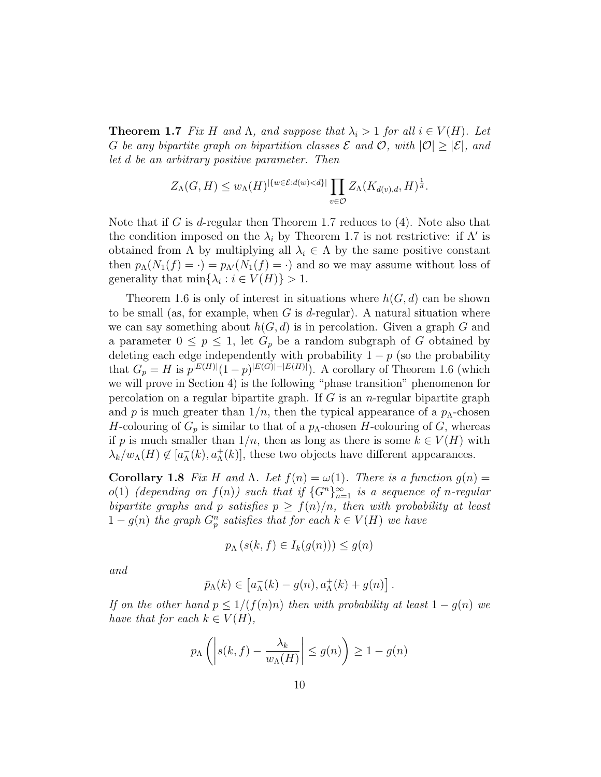**Theorem 1.7** Fix H and  $\Lambda$ , and suppose that  $\lambda_i > 1$  for all  $i \in V(H)$ . Let G be any bipartite graph on bipartition classes  $\mathcal E$  and  $\mathcal O$ , with  $|\mathcal O|\geq |\mathcal E|$ , and let d be an arbitrary positive parameter. Then

$$
Z_{\Lambda}(G,H) \leq w_{\Lambda}(H)^{|\{w \in \mathcal{E}:d(w) < d\}|} \prod_{v \in \mathcal{O}} Z_{\Lambda}(K_{d(v),d},H)^{\frac{1}{d}}.
$$

Note that if G is d-regular then Theorem 1.7 reduces to  $(4)$ . Note also that the condition imposed on the  $\lambda_i$  by Theorem 1.7 is not restrictive: if  $\Lambda'$  is obtained from  $\Lambda$  by multiplying all  $\lambda_i \in \Lambda$  by the same positive constant then  $p_{\Lambda}(N_1(f) = \cdot) = p_{\Lambda}(N_1(f) = \cdot)$  and so we may assume without loss of generality that  $\min\{\lambda_i : i \in V(H)\} > 1$ .

Theorem 1.6 is only of interest in situations where  $h(G, d)$  can be shown to be small (as, for example, when  $G$  is d-regular). A natural situation where we can say something about  $h(G, d)$  is in percolation. Given a graph G and a parameter  $0 \leq p \leq 1$ , let  $G_p$  be a random subgraph of G obtained by deleting each edge independently with probability  $1 - p$  (so the probability that  $G_p = H$  is  $p^{|E(H)|} (1-p)^{|E(G)|-|E(H)|}$ . A corollary of Theorem 1.6 (which we will prove in Section 4) is the following "phase transition" phenomenon for percolation on a regular bipartite graph. If  $G$  is an *n*-regular bipartite graph and p is much greater than  $1/n$ , then the typical appearance of a  $p_{\Lambda}$ -chosen H-colouring of  $G_p$  is similar to that of a  $p_\Lambda$ -chosen H-colouring of G, whereas if p is much smaller than  $1/n$ , then as long as there is some  $k \in V(H)$  with  $\lambda_k/w_\Lambda(H) \notin [a_\Lambda^-]$  $\bar{\Lambda}(k)$ ,  $a_{\Lambda}^{+}(k)$ , these two objects have different appearances.

Corollary 1.8 Fix H and Λ. Let  $f(n) = \omega(1)$ . There is a function  $q(n) =$  $o(1)$  (depending on  $f(n)$ ) such that if  ${G<sup>n</sup>}_{n=1}^{\infty}$  is a sequence of n-regular bipartite graphs and p satisfies  $p \ge f(n)/n$ , then with probability at least  $1-g(n)$  the graph  $G_p^n$  satisfies that for each  $k \in V(H)$  we have

$$
p_{\Lambda}(s(k, f) \in I_k(g(n))) \le g(n)
$$

and

$$
\bar{p}_{\Lambda}(k) \in [a_{\Lambda}^-(k) - g(n), a_{\Lambda}^+(k) + g(n)].
$$

If on the other hand  $p \leq 1/(f(n)n)$  then with probability at least  $1 - g(n)$  we have that for each  $k \in V(H)$ ,

$$
p_{\Lambda}\left(\left|s(k,f)-\frac{\lambda_k}{w_{\Lambda}(H)}\right|\leq g(n)\right)\geq 1-g(n)
$$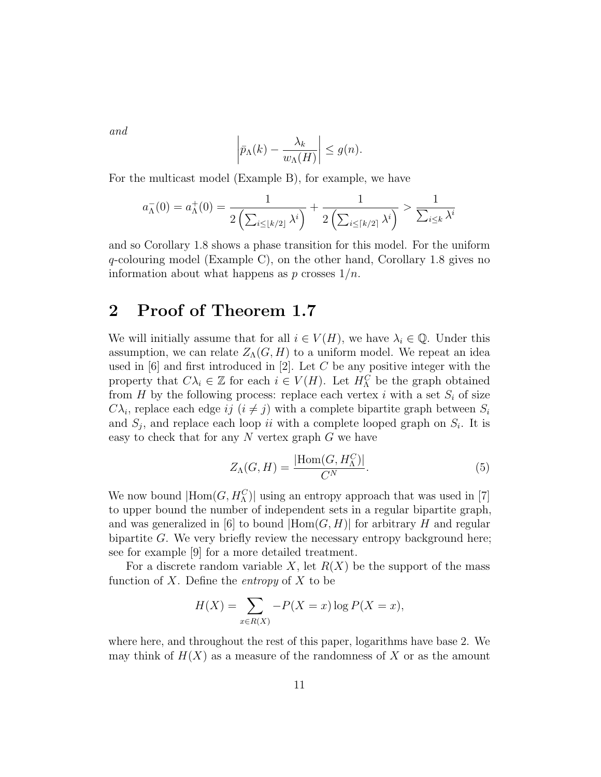and

$$
\left|\bar{p}_{\Lambda}(k) - \frac{\lambda_k}{w_{\Lambda}(H)}\right| \le g(n).
$$

For the multicast model (Example B), for example, we have

$$
a_{\Lambda}^{-}(0) = a_{\Lambda}^{+}(0) = \frac{1}{2\left(\sum_{i\leq \lfloor k/2\rfloor} \lambda^{i}\right)} + \frac{1}{2\left(\sum_{i\leq \lceil k/2\rceil} \lambda^{i}\right)} > \frac{1}{\sum_{i\leq k} \lambda^{i}}
$$

and so Corollary 1.8 shows a phase transition for this model. For the uniform  $q$ -colouring model (Example C), on the other hand, Corollary 1.8 gives no information about what happens as  $p$  crosses  $1/n$ .

### 2 Proof of Theorem 1.7

We will initially assume that for all  $i \in V(H)$ , we have  $\lambda_i \in \mathbb{Q}$ . Under this assumption, we can relate  $Z_{\Lambda}(G, H)$  to a uniform model. We repeat an idea used in  $[6]$  and first introduced in  $[2]$ . Let C be any positive integer with the property that  $C\lambda_i \in \mathbb{Z}$  for each  $i \in V(H)$ . Let  $H_{\Lambda}^C$  be the graph obtained from  $H$  by the following process: replace each vertex i with a set  $S_i$  of size  $C\lambda_i$ , replace each edge ij  $(i \neq j)$  with a complete bipartite graph between  $S_i$ and  $S_j$ , and replace each loop ii with a complete looped graph on  $S_i$ . It is easy to check that for any  $N$  vertex graph  $G$  we have

$$
Z_{\Lambda}(G, H) = \frac{|\text{Hom}(G, H_{\Lambda}^C)|}{C^N}.
$$
\n(5)

We now bound  $|\text{Hom}(G, H_{\Lambda}^C)|$  using an entropy approach that was used in [7] to upper bound the number of independent sets in a regular bipartite graph, and was generalized in [6] to bound  $|Hom(G, H)|$  for arbitrary H and regular bipartite G. We very briefly review the necessary entropy background here; see for example [9] for a more detailed treatment.

For a discrete random variable X, let  $R(X)$  be the support of the mass function of X. Define the *entropy* of X to be

$$
H(X) = \sum_{x \in R(X)} -P(X = x) \log P(X = x),
$$

where here, and throughout the rest of this paper, logarithms have base 2. We may think of  $H(X)$  as a measure of the randomness of X or as the amount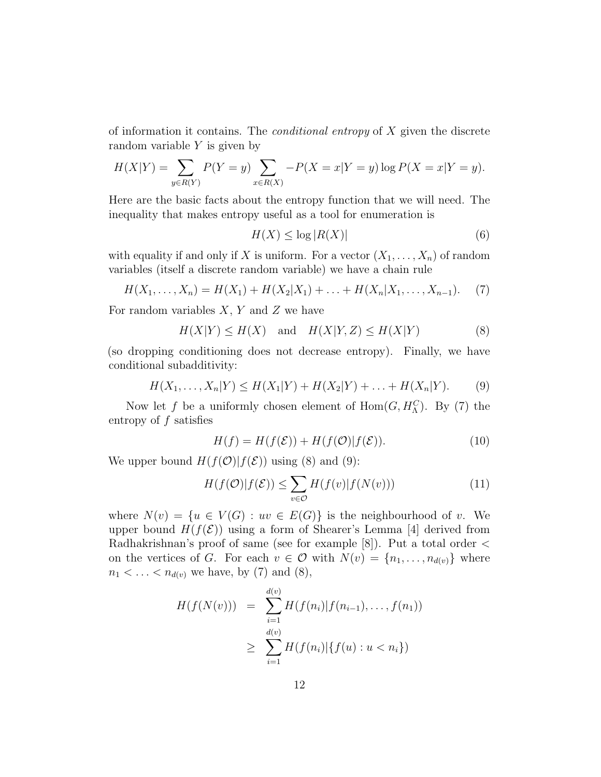of information it contains. The conditional entropy of X given the discrete random variable  $Y$  is given by

$$
H(X|Y) = \sum_{y \in R(Y)} P(Y = y) \sum_{x \in R(X)} -P(X = x|Y = y) \log P(X = x|Y = y).
$$

Here are the basic facts about the entropy function that we will need. The inequality that makes entropy useful as a tool for enumeration is

$$
H(X) \le \log |R(X)| \tag{6}
$$

with equality if and only if X is uniform. For a vector  $(X_1, \ldots, X_n)$  of random variables (itself a discrete random variable) we have a chain rule

$$
H(X_1, \ldots, X_n) = H(X_1) + H(X_2|X_1) + \ldots + H(X_n|X_1, \ldots, X_{n-1}).
$$
 (7)

For random variables  $X, Y$  and  $Z$  we have

$$
H(X|Y) \le H(X) \quad \text{and} \quad H(X|Y,Z) \le H(X|Y) \tag{8}
$$

(so dropping conditioning does not decrease entropy). Finally, we have conditional subadditivity:

$$
H(X_1, ..., X_n|Y) \le H(X_1|Y) + H(X_2|Y) + ... + H(X_n|Y).
$$
 (9)

Now let f be a uniformly chosen element of  $Hom(G, H_0^C)$ . By (7) the entropy of  $f$  satisfies

$$
H(f) = H(f(\mathcal{E})) + H(f(\mathcal{O})|f(\mathcal{E})).
$$
\n(10)

We upper bound  $H(f(\mathcal{O})|f(\mathcal{E}))$  using (8) and (9):

$$
H(f(\mathcal{O})|f(\mathcal{E})) \le \sum_{v \in \mathcal{O}} H(f(v)|f(N(v))) \tag{11}
$$

where  $N(v) = \{u \in V(G) : uv \in E(G)\}\$ is the neighbourhood of v. We upper bound  $H(f(\mathcal{E}))$  using a form of Shearer's Lemma [4] derived from Radhakrishnan's proof of same (see for example  $[8]$ ). Put a total order  $\lt$ on the vertices of G. For each  $v \in \mathcal{O}$  with  $N(v) = \{n_1, \ldots, n_{d(v)}\}$  where  $n_1 < ... < n_{d(v)}$  we have, by (7) and (8),

$$
H(f(N(v))) = \sum_{i=1}^{d(v)} H(f(n_i)|f(n_{i-1}), \dots, f(n_1))
$$
  
 
$$
\geq \sum_{i=1}^{d(v)} H(f(n_i)|\{f(u) : u < n_i\})
$$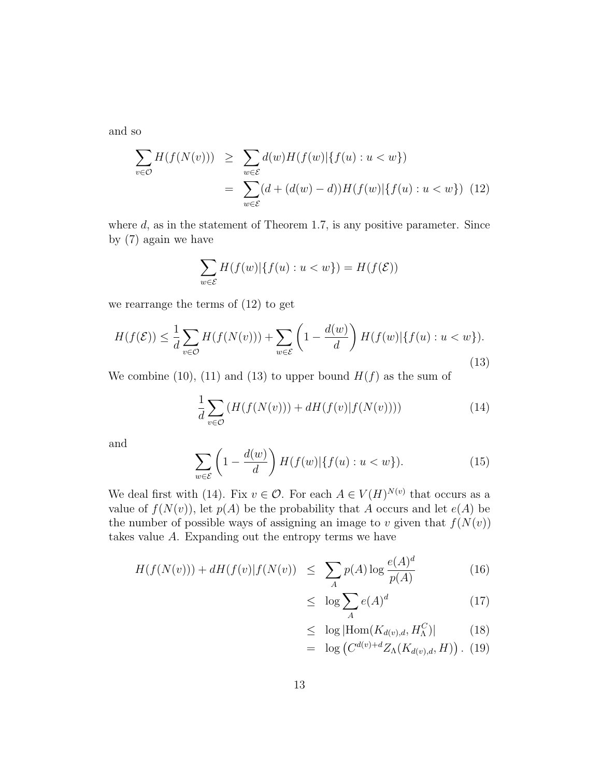and so

$$
\sum_{v \in \mathcal{O}} H(f(N(v))) \geq \sum_{w \in \mathcal{E}} d(w)H(f(w)|\{f(u) : u < w\})
$$
\n
$$
= \sum_{w \in \mathcal{E}} (d + (d(w) - d))H(f(w)|\{f(u) : u < w\}) \tag{12}
$$

where  $d$ , as in the statement of Theorem 1.7, is any positive parameter. Since by (7) again we have

$$
\sum_{w \in \mathcal{E}} H(f(w)|\{f(u) : u < w\}) = H(f(\mathcal{E}))
$$

we rearrange the terms of (12) to get

$$
H(f(\mathcal{E})) \leq \frac{1}{d} \sum_{v \in \mathcal{O}} H(f(N(v))) + \sum_{w \in \mathcal{E}} \left( 1 - \frac{d(w)}{d} \right) H(f(w)| \{ f(u) : u < w \}).\tag{13}
$$

We combine (10), (11) and (13) to upper bound  $H(f)$  as the sum of

$$
\frac{1}{d} \sum_{v \in \mathcal{O}} \left( H(f(N(v))) + dH(f(v)|f(N(v))) \right) \tag{14}
$$

and

$$
\sum_{w \in \mathcal{E}} \left( 1 - \frac{d(w)}{d} \right) H(f(w)| \{ f(u) : u < w \}).\tag{15}
$$

We deal first with (14). Fix  $v \in \mathcal{O}$ . For each  $A \in V(H)^{N(v)}$  that occurs as a value of  $f(N(v))$ , let  $p(A)$  be the probability that A occurs and let  $e(A)$  be the number of possible ways of assigning an image to v given that  $f(N(v))$ takes value A. Expanding out the entropy terms we have

$$
H(f(N(v))) + dH(f(v)|f(N(v)) \le \sum_{A} p(A) \log \frac{e(A)^d}{p(A)}
$$
(16)

$$
\leq \log \sum_{A} e(A)^d \tag{17}
$$

$$
\leq \log|\text{Hom}(K_{d(v),d}, H_{\Lambda}^C)| \tag{18}
$$

$$
= \log\left(C^{d(v)+d} Z_{\Lambda}(K_{d(v),d}, H)\right). (19)
$$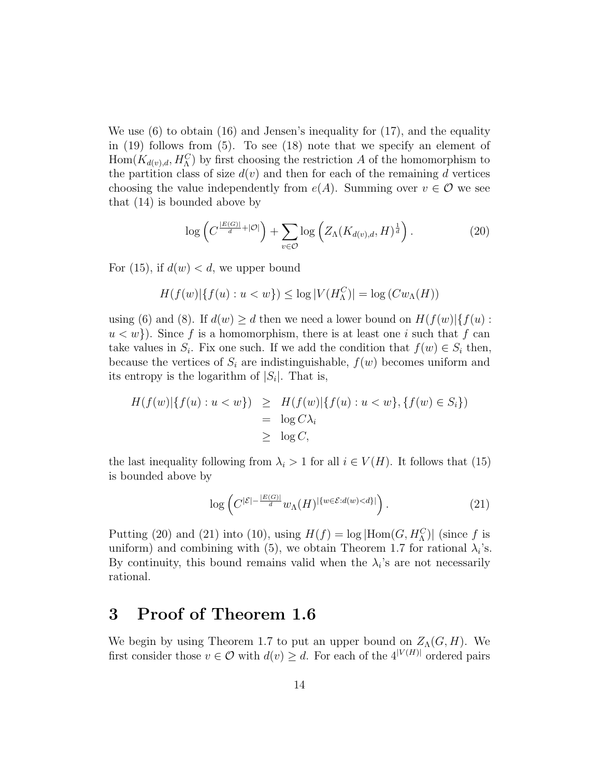We use (6) to obtain (16) and Jensen's inequality for (17), and the equality in (19) follows from (5). To see (18) note that we specify an element of  $\text{Hom}(K_{d(v),d},H_{\Lambda}^C)$  by first choosing the restriction A of the homomorphism to the partition class of size  $d(v)$  and then for each of the remaining d vertices choosing the value independently from  $e(A)$ . Summing over  $v \in \mathcal{O}$  we see that (14) is bounded above by

$$
\log\left(C^{\frac{|E(G)|}{d} + |\mathcal{O}|}\right) + \sum_{v \in \mathcal{O}} \log\left(Z_{\Lambda}(K_{d(v),d}, H)^{\frac{1}{d}}\right). \tag{20}
$$

For (15), if  $d(w) < d$ , we upper bound

$$
H(f(w)|\{f(u):u
$$

using (6) and (8). If  $d(w) \ge d$  then we need a lower bound on  $H(f(w))\{f(u) :$  $u < w$ ). Since f is a homomorphism, there is at least one i such that f can take values in  $S_i$ . Fix one such. If we add the condition that  $f(w) \in S_i$  then, because the vertices of  $S_i$  are indistinguishable,  $f(w)$  becomes uniform and its entropy is the logarithm of  $|S_i|$ . That is,

$$
H(f(w)|\{f(u): u < w\}) \geq H(f(w)|\{f(u): u < w\}, \{f(w) \in S_i\})
$$
  
=  $\log C \lambda_i$   
 $\geq \log C,$ 

the last inequality following from  $\lambda_i > 1$  for all  $i \in V(H)$ . It follows that (15) is bounded above by

$$
\log\left(C^{|\mathcal{E}|-\frac{|E(G)|}{d}}w_{\Lambda}(H)^{|\{w\in\mathcal{E}:d(w)
$$

Putting (20) and (21) into (10), using  $H(f) = \log |\text{Hom}(G, H_{\Lambda}^C)|$  (since f is uniform) and combining with (5), we obtain Theorem 1.7 for rational  $\lambda_i$ 's. By continuity, this bound remains valid when the  $\lambda_i$ 's are not necessarily rational.

#### 3 Proof of Theorem 1.6

We begin by using Theorem 1.7 to put an upper bound on  $Z<sub>A</sub>(G, H)$ . We first consider those  $v \in \mathcal{O}$  with  $d(v) \geq d$ . For each of the  $4^{|V(H)|}$  ordered pairs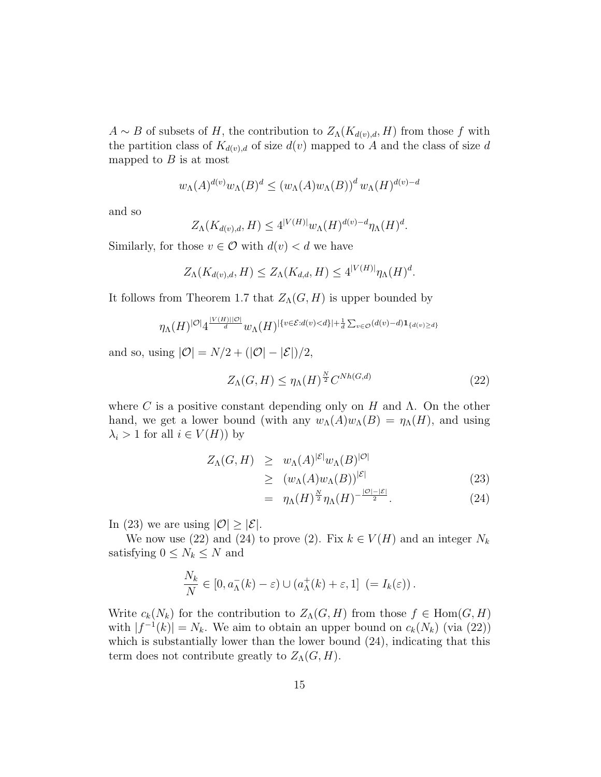$A \sim B$  of subsets of H, the contribution to  $Z_{\Lambda}(K_{d(v),d}, H)$  from those f with the partition class of  $K_{d(v),d}$  of size  $d(v)$  mapped to A and the class of size d mapped to  $B$  is at most

$$
w_{\Lambda}(A)^{d(v)}w_{\Lambda}(B)^{d} \le (w_{\Lambda}(A)w_{\Lambda}(B))^{d}w_{\Lambda}(H)^{d(v)-d}
$$

and so

$$
Z_{\Lambda}(K_{d(v),d},H) \leq 4^{|V(H)|}w_{\Lambda}(H)^{d(v)-d}\eta_{\Lambda}(H)^{d}.
$$

Similarly, for those  $v \in \mathcal{O}$  with  $d(v) < d$  we have

$$
Z_{\Lambda}(K_{d(v),d},H) \leq Z_{\Lambda}(K_{d,d},H) \leq 4^{|V(H)|} \eta_{\Lambda}(H)^d.
$$

It follows from Theorem 1.7 that  $Z_{\Lambda}(G, H)$  is upper bounded by

$$
\eta_{\Lambda}(H)^{|\mathcal{O}|}4^{\frac{|V(H)||\mathcal{O}|}{d}}w_{\Lambda}(H)^{|\{v\in \mathcal{E}:d(v)
$$

and so, using  $|\mathcal{O}| = N/2 + (|\mathcal{O}| - |\mathcal{E}|)/2$ ,

$$
Z_{\Lambda}(G, H) \le \eta_{\Lambda}(H)^{\frac{N}{2}} C^{Nh(G, d)} \tag{22}
$$

where C is a positive constant depending only on H and  $\Lambda$ . On the other hand, we get a lower bound (with any  $w_\Lambda(A)w_\Lambda(B) = \eta_\Lambda(H)$ , and using  $\lambda_i > 1$  for all  $i \in V(H)$  by

$$
Z_{\Lambda}(G, H) \geq w_{\Lambda}(A)^{|\mathcal{E}|} w_{\Lambda}(B)^{|\mathcal{O}|}
$$
  
\n
$$
\geq (w_{\Lambda}(A)w_{\Lambda}(B))^{|\mathcal{E}|}
$$
\n(23)

$$
= \eta_{\Lambda}(H)^{\frac{N}{2}} \eta_{\Lambda}(H)^{-\frac{|\mathcal{O}|-|\mathcal{E}|}{2}}.
$$
 (24)

In (23) we are using  $|O| \geq |\mathcal{E}|$ .

We now use (22) and (24) to prove (2). Fix  $k \in V(H)$  and an integer  $N_k$ satisfying  $0 \leq N_k \leq N$  and

$$
\frac{N_k}{N} \in [0, a_{\Lambda}^-(k) - \varepsilon) \cup (a_{\Lambda}^+(k) + \varepsilon, 1] \ \left(= I_k(\varepsilon)\right).
$$

Write  $c_k(N_k)$  for the contribution to  $Z_\Lambda(G, H)$  from those  $f \in \text{Hom}(G, H)$ with  $|f^{-1}(k)| = N_k$ . We aim to obtain an upper bound on  $c_k(N_k)$  (via (22)) which is substantially lower than the lower bound (24), indicating that this term does not contribute greatly to  $Z<sub>\Lambda</sub>(G, H)$ .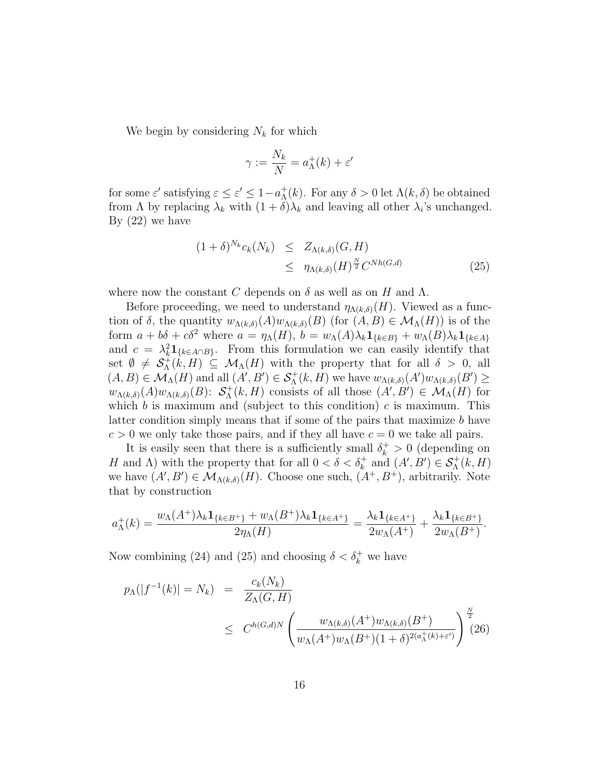We begin by considering  $N_k$  for which

$$
\gamma := \frac{N_k}{N} = a_{\Lambda}^+(k) + \varepsilon'
$$

for some  $\varepsilon'$  satisfying  $\varepsilon \leq \varepsilon' \leq 1 - a_{\Lambda}^+$  ${}_{\Lambda}^{+}(k)$ . For any  $\delta > 0$  let  $\Lambda(k, \delta)$  be obtained from  $\Lambda$  by replacing  $\lambda_k$  with  $(1+\delta)\lambda_k$  and leaving all other  $\lambda_i$ 's unchanged. By  $(22)$  we have

$$
(1+\delta)^{N_k} c_k(N_k) \leq Z_{\Lambda(k,\delta)}(G,H)
$$
  
 
$$
\leq \eta_{\Lambda(k,\delta)}(H)^{\frac{N}{2}} C^{Nh(G,d)} \tag{25}
$$

where now the constant C depends on  $\delta$  as well as on H and  $\Lambda$ .

Before proceeding, we need to understand  $\eta_{\Lambda(k,\delta)}(H)$ . Viewed as a function of  $\delta$ , the quantity  $w_{\Lambda(k,\delta)}(A)w_{\Lambda(k,\delta)}(B)$  (for  $(A, B) \in \mathcal{M}_{\Lambda}(H)$ ) is of the form  $a + b\delta + c\delta^2$  where  $a = \eta_\Lambda(H)$ ,  $b = w_\Lambda(A)\lambda_k \mathbf{1}_{\{k \in B\}} + w_\Lambda(B)\lambda_k \mathbf{1}_{\{k \in A\}}$ and  $c = \lambda_k^2 \mathbf{1}_{\{k \in A \cap B\}}$ . From this formulation we can easily identify that set  $\emptyset \neq S_{\Lambda}^{+}$  $\Lambda^+(k,H) \subseteq \mathcal{M}_{\Lambda}(H)$  with the property that for all  $\delta > 0$ , all  $(A, B) \in \mathcal{M}_{\Lambda}(H)$  and all  $(A', B') \in \mathcal{S}_{\Lambda}^+(k, H)$  we have  $w_{\Lambda(k,\delta)}(A')w_{\Lambda(k,\delta)}(B') \geq$  $w_{\Lambda(k,\delta)}(A)w_{\Lambda(k,\delta)}(B)$ :  $S_{\Lambda}^+$  $\Lambda^+(k, H)$  consists of all those  $(A', B') \in \mathcal{M}_{\Lambda}(H)$  for which b is maximum and (subject to this condition) c is maximum. This latter condition simply means that if some of the pairs that maximize b have  $c > 0$  we only take those pairs, and if they all have  $c = 0$  we take all pairs.

It is easily seen that there is a sufficiently small  $\delta_k^+ > 0$  (depending on H and  $\Lambda$ ) with the property that for all  $0 < \delta < \delta_k^+$  and  $(A', B') \in \mathcal{S}_{\Lambda}^+(k, H)$ we have  $(A', B') \in \mathcal{M}_{\Lambda(k,\delta)}(H)$ . Choose one such,  $(A^+, B^+)$ , arbitrarily. Note that by construction

$$
a_{\Lambda}^{+}(k) = \frac{w_{\Lambda}(A^{+})\lambda_{k}\mathbf{1}_{\{k\in B^{+}\}} + w_{\Lambda}(B^{+})\lambda_{k}\mathbf{1}_{\{k\in A^{+}\}}}{2\eta_{\Lambda}(H)} = \frac{\lambda_{k}\mathbf{1}_{\{k\in A^{+}\}}}{2w_{\Lambda}(A^{+})} + \frac{\lambda_{k}\mathbf{1}_{\{k\in B^{+}\}}}{2w_{\Lambda}(B^{+})}.
$$

Now combining (24) and (25) and choosing  $\delta < \delta_k^+$  we have

$$
p_{\Lambda}(|f^{-1}(k)| = N_k) = \frac{c_k(N_k)}{Z_{\Lambda}(G, H)}
$$
  
 
$$
\leq C^{h(G,d)N} \left( \frac{w_{\Lambda(k,\delta)}(A^+)w_{\Lambda(k,\delta)}(B^+)}{w_{\Lambda}(A^+)w_{\Lambda}(B^+)(1+\delta)^{2(a_{\Lambda}^+(k)+\varepsilon')}} \right)^{\frac{N}{2}} (26)
$$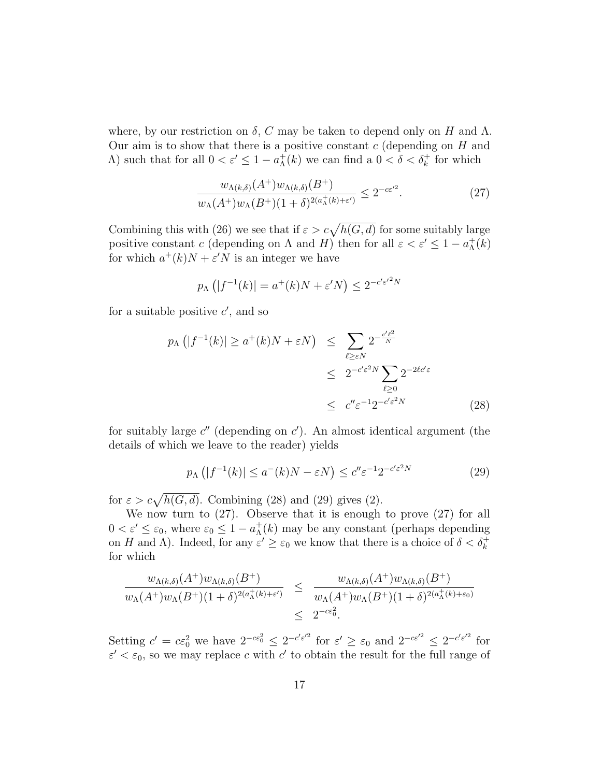where, by our restriction on  $\delta$ , C may be taken to depend only on H and  $\Lambda$ . Our aim is to show that there is a positive constant  $c$  (depending on  $H$  and  $Λ$ ) such that for all  $0 < ε' ≤ 1 - a<sub>Λ</sub><sup>+</sup>$  ${}_{\Lambda}^{+}(k)$  we can find a  $0 < \delta < \delta_k^+$  for which

$$
\frac{w_{\Lambda(k,\delta)}(A^+)w_{\Lambda(k,\delta)}(B^+)}{w_{\Lambda}(A^+)w_{\Lambda}(B^+)(1+\delta)^{2(a^+_{\Lambda}(k)+\varepsilon')}} \leq 2^{-c\varepsilon'^2}.
$$
\n(27)

Combining this with (26) we see that if  $\varepsilon > c\sqrt{h(G, d)}$  for some suitably large positive constant c (depending on  $\Lambda$  and  $H$ ) then for all  $\varepsilon < \varepsilon' \leq 1 - a_{\Lambda}^+$  $^+_\Lambda(k)$ for which  $a^+(k)N + \varepsilon'N$  is an integer we have

$$
p_{\Lambda}\left(|f^{-1}(k)| = a^+(k)N + \varepsilon'N\right) \le 2^{-c'\varepsilon'^2 N}
$$

for a suitable positive  $c'$ , and so

$$
p_{\Lambda}(|f^{-1}(k)| \ge a^{+}(k)N + \varepsilon N) \le \sum_{\ell \ge \varepsilon N} 2^{-\frac{c'\ell^2}{N}} \le 2^{-c'\varepsilon^2 N} \sum_{\ell \ge 0} 2^{-2\ell c'\varepsilon} \le c'' \varepsilon^{-1} 2^{-c'\varepsilon^2 N} \tag{28}
$$

for suitably large  $c''$  (depending on  $c'$ ). An almost identical argument (the details of which we leave to the reader) yields

$$
p_{\Lambda}\left(|f^{-1}(k)| \le a^{-}(k)N - \varepsilon N\right) \le c'' \varepsilon^{-1} 2^{-c' \varepsilon^{2} N} \tag{29}
$$

for  $\varepsilon > c\sqrt{h(G, d)}$ . Combining (28) and (29) gives (2).

We now turn to (27). Observe that it is enough to prove (27) for all  $0 < \varepsilon' \leq \varepsilon_0$ , where  $\varepsilon_0 \leq 1 - a_{\Lambda}^+$  $_{\Lambda}^{+}(k)$  may be any constant (perhaps depending on H and  $\Lambda$ ). Indeed, for any  $\varepsilon' \geq \varepsilon_0$  we know that there is a choice of  $\delta < \delta_k^+$ for which

$$
\frac{w_{\Lambda(k,\delta)}(A^+)w_{\Lambda(k,\delta)}(B^+)}{w_{\Lambda}(A^+)w_{\Lambda}(B^+)(1+\delta)^{2(a^+_{\Lambda}(k)+\varepsilon')}} \leq \frac{w_{\Lambda(k,\delta)}(A^+)w_{\Lambda(k,\delta)}(B^+)}{w_{\Lambda}(A^+)w_{\Lambda}(B^+)(1+\delta)^{2(a^+_{\Lambda}(k)+\varepsilon_0)}}
$$
  

$$
\leq 2^{-c\varepsilon_0^2}.
$$

Setting  $c' = c \varepsilon_0^2$  we have  $2^{-c \varepsilon_0^2} \leq 2^{-c' \varepsilon'^2}$  for  $\varepsilon' \geq \varepsilon_0$  and  $2^{-c \varepsilon'^2} \leq 2^{-c' \varepsilon'^2}$  for  $\varepsilon' < \varepsilon_0$ , so we may replace c with c' to obtain the result for the full range of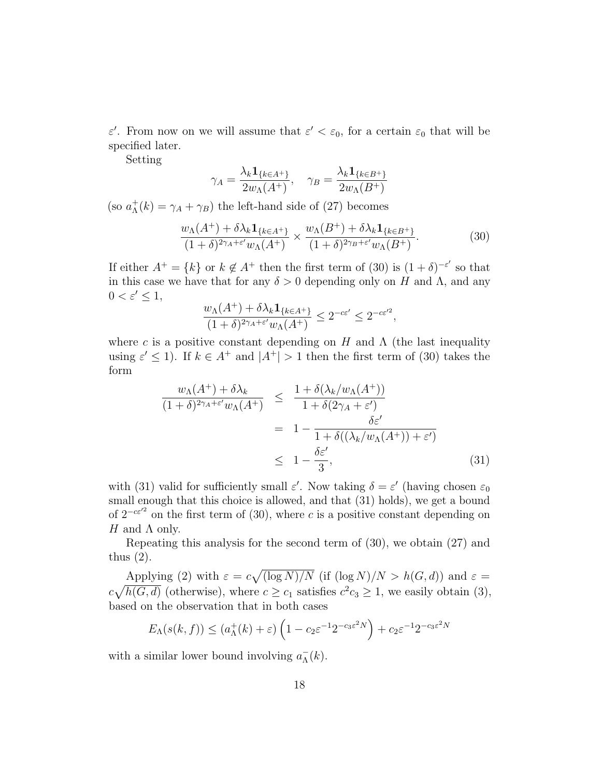$\varepsilon'$ . From now on we will assume that  $\varepsilon' < \varepsilon_0$ , for a certain  $\varepsilon_0$  that will be specified later.

Setting

$$
\gamma_A = \frac{\lambda_k \mathbf{1}_{\{k \in A^+\}}}{2w_\Lambda(A^+)}, \quad \gamma_B = \frac{\lambda_k \mathbf{1}_{\{k \in B^+\}}}{2w_\Lambda(B^+)}
$$

(so  $a_{\Lambda}^+$  $\chi^+_{\Lambda}(k) = \gamma_A + \gamma_B$  the left-hand side of (27) becomes

$$
\frac{w_{\Lambda}(A^+) + \delta \lambda_k \mathbf{1}_{\{k \in A^+\}}}{(1+\delta)^{2\gamma_A+\varepsilon'} w_{\Lambda}(A^+)} \times \frac{w_{\Lambda}(B^+) + \delta \lambda_k \mathbf{1}_{\{k \in B^+\}}}{(1+\delta)^{2\gamma_B+\varepsilon'} w_{\Lambda}(B^+)}.
$$
(30)

If either  $A^+ = \{k\}$  or  $k \notin A^+$  then the first term of (30) is  $(1 + \delta)^{-\epsilon'}$  so that in this case we have that for any  $\delta > 0$  depending only on H and  $\Lambda$ , and any  $0 < \varepsilon' \leq 1$ ,

$$
\frac{w_\Lambda(A^+)+\delta \lambda_k{\bf 1}_{\{k\in A^+\}}}{(1+\delta)^{2\gamma_A+\varepsilon'}w_\Lambda(A^+)}\leq 2^{-c\varepsilon'}\leq 2^{-c\varepsilon'^2},
$$

where c is a positive constant depending on H and  $\Lambda$  (the last inequality using  $\varepsilon' \leq 1$ ). If  $k \in A^+$  and  $|A^+| > 1$  then the first term of (30) takes the form

$$
\frac{w_{\Lambda}(A^+) + \delta \lambda_k}{(1+\delta)^{2\gamma_A+\varepsilon'}w_{\Lambda}(A^+)} \leq \frac{1+\delta(\lambda_k/w_{\Lambda}(A^+))}{1+\delta(2\gamma_A+\varepsilon')}
$$

$$
= 1 - \frac{\delta \varepsilon'}{1+\delta((\lambda_k/w_{\Lambda}(A^+))+\varepsilon')}
$$

$$
\leq 1 - \frac{\delta \varepsilon'}{3},
$$
(31)

with (31) valid for sufficiently small  $\varepsilon'$ . Now taking  $\delta = \varepsilon'$  (having chosen  $\varepsilon_0$ small enough that this choice is allowed, and that (31) holds), we get a bound of  $2^{-c\epsilon^2}$  on the first term of (30), where c is a positive constant depending on H and  $\Lambda$  only.

Repeating this analysis for the second term of (30), we obtain (27) and thus (2).

Applying (2) with  $\varepsilon = c \sqrt{\frac{\log N}{N}}$  (if  $(\log N)/N > h(G, d)$ ) and  $\varepsilon =$  $c\sqrt{h(G,d)}$  (otherwise), where  $c \geq c_1$  satisfies  $c^2c_3 \geq 1$ , we easily obtain (3), based on the observation that in both cases

$$
E_{\Lambda}(s(k,f)) \le (a_{\Lambda}^+(k) + \varepsilon) \left(1 - c_2 \varepsilon^{-1} 2^{-c_3 \varepsilon^2 N}\right) + c_2 \varepsilon^{-1} 2^{-c_3 \varepsilon^2 N}
$$

with a similar lower bound involving  $a_{\Lambda}^ \bar{\Lambda}(k)$ .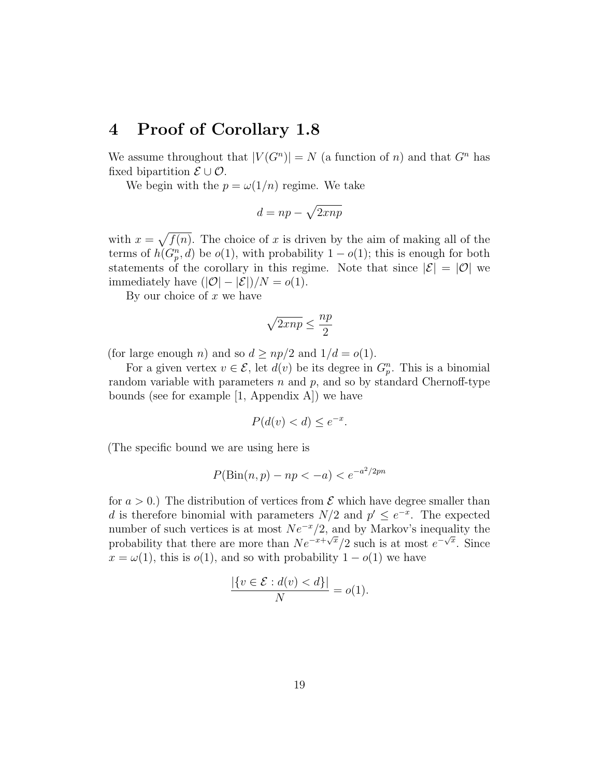#### 4 Proof of Corollary 1.8

We assume throughout that  $|V(G^n)| = N$  (a function of n) and that  $G^n$  has fixed bipartition  $\mathcal{E} \cup \mathcal{O}$ .

We begin with the  $p = \omega(1/n)$  regime. We take

$$
d = np - \sqrt{2\pi np}
$$

with  $x = \sqrt{f(n)}$ . The choice of x is driven by the aim of making all of the terms of  $h(G_p^n, d)$  be  $o(1)$ , with probability  $1 - o(1)$ ; this is enough for both statements of the corollary in this regime. Note that since  $|\mathcal{E}| = |0|$  we immediately have  $(|\mathcal{O}| - |\mathcal{E}|)/N = o(1)$ .

By our choice of  $x$  we have

$$
\sqrt{2\pi np} \leq \frac{np}{2}
$$

(for large enough *n*) and so  $d \geq np/2$  and  $1/d = o(1)$ .

For a given vertex  $v \in \mathcal{E}$ , let  $d(v)$  be its degree in  $G_p^n$ . This is a binomial random variable with parameters  $n$  and  $p$ , and so by standard Chernoff-type bounds (see for example [1, Appendix A]) we have

$$
P(d(v) < d) \le e^{-x}.
$$

(The specific bound we are using here is

$$
P(\text{Bin}(n, p) - np < -a) < e^{-a^2/2pn}
$$

for  $a > 0$ .) The distribution of vertices from  $\mathcal E$  which have degree smaller than d is therefore binomial with parameters  $N/2$  and  $p' \leq e^{-x}$ . The expected number of such vertices is at most  $Ne^{-x}/2$ , and by Markov's inequality the probability that there are more than  $Ne^{-x+\sqrt{x}}/2$  such is at most  $e^{-\sqrt{x}}$ . Since  $x = \omega(1)$ , this is  $o(1)$ , and so with probability  $1 - o(1)$  we have

$$
\frac{|\{v \in \mathcal{E} : d(v) < d\}|}{N} = o(1).
$$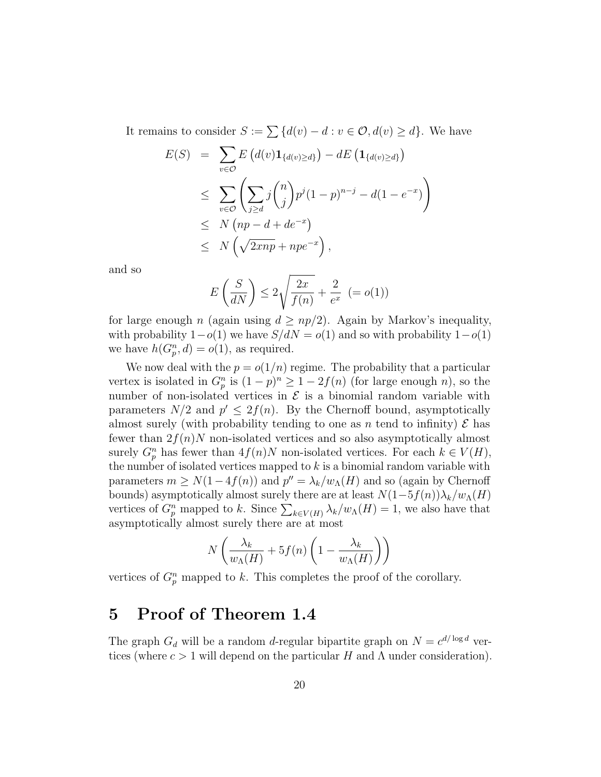It remains to consider  $S := \sum \{d(v) - d : v \in \mathcal{O}, d(v) \geq d\}$ . We have

$$
E(S) = \sum_{v \in \mathcal{O}} E\left(d(v)\mathbf{1}_{\{d(v) \ge d\}}\right) - dE\left(\mathbf{1}_{\{d(v) \ge d\}}\right)
$$
  
\n
$$
\leq \sum_{v \in \mathcal{O}} \left(\sum_{j \ge d} j\binom{n}{j} p^j (1-p)^{n-j} - d(1-e^{-x})\right)
$$
  
\n
$$
\leq N\left(np - d + de^{-x}\right)
$$
  
\n
$$
\leq N\left(\sqrt{2\pi np} + npe^{-x}\right),
$$

and so

$$
E\left(\frac{S}{dN}\right) \le 2\sqrt{\frac{2x}{f(n)}} + \frac{2}{e^x} (= o(1))
$$

for large enough n (again using  $d \geq np/2$ ). Again by Markov's inequality, with probability  $1-o(1)$  we have  $S/dN = o(1)$  and so with probability  $1-o(1)$ we have  $h(G_p^n, d) = o(1)$ , as required.

We now deal with the  $p = o(1/n)$  regime. The probability that a particular vertex is isolated in  $G_p^n$  is  $(1-p)^n \geq 1-2f(n)$  (for large enough n), so the number of non-isolated vertices in  $\mathcal E$  is a binomial random variable with parameters  $N/2$  and  $p' \leq 2f(n)$ . By the Chernoff bound, asymptotically almost surely (with probability tending to one as n tend to infinity)  $\mathcal E$  has fewer than  $2f(n)N$  non-isolated vertices and so also asymptotically almost surely  $G_p^n$  has fewer than  $4f(n)N$  non-isolated vertices. For each  $k \in V(H)$ , the number of isolated vertices mapped to  $k$  is a binomial random variable with parameters  $m \ge N(1-4f(n))$  and  $p'' = \lambda_k/w_{\Lambda}(H)$  and so (again by Chernoff bounds) asymptotically almost surely there are at least  $N(1-5f(n))\lambda_k/w_{\Lambda}(H)$ vertices of  $G_p^n$  mapped to k. Since  $\sum_{k \in V(H)} \lambda_k/w_\Lambda(H) = 1$ , we also have that asymptotically almost surely there are at most

$$
N\left(\frac{\lambda_k}{w_{\Lambda}(H)} + 5f(n)\left(1 - \frac{\lambda_k}{w_{\Lambda}(H)}\right)\right)
$$

vertices of  $G_p^n$  mapped to k. This completes the proof of the corollary.

#### 5 Proof of Theorem 1.4

The graph  $G_d$  will be a random d-regular bipartite graph on  $N = c^{d/\log d}$  vertices (where  $c > 1$  will depend on the particular H and  $\Lambda$  under consideration).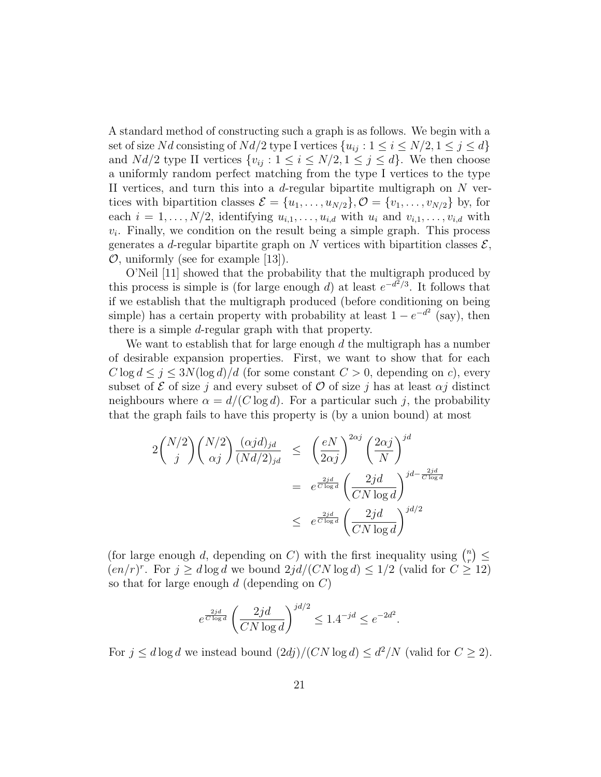A standard method of constructing such a graph is as follows. We begin with a set of size Nd consisting of Nd/2 type I vertices  $\{u_{ij}: 1 \le i \le N/2, 1 \le j \le d\}$ and  $Nd/2$  type II vertices  $\{v_{ij} : 1 \le i \le N/2, 1 \le j \le d\}$ . We then choose a uniformly random perfect matching from the type I vertices to the type II vertices, and turn this into a d-regular bipartite multigraph on  $N$  vertices with bipartition classes  $\mathcal{E} = \{u_1, \ldots, u_{N/2}\}, \mathcal{O} = \{v_1, \ldots, v_{N/2}\}\$  by, for each  $i = 1, \ldots, N/2$ , identifying  $u_{i,1}, \ldots, u_{i,d}$  with  $u_i$  and  $v_{i,1}, \ldots, v_{i,d}$  with  $v_i$ . Finally, we condition on the result being a simple graph. This process generates a d-regular bipartite graph on N vertices with bipartition classes  $\mathcal{E}$ ,  $\mathcal{O}$ , uniformly (see for example [13]).

O'Neil [11] showed that the probability that the multigraph produced by this process is simple is (for large enough d) at least  $e^{-d^2/3}$ . It follows that if we establish that the multigraph produced (before conditioning on being simple) has a certain property with probability at least  $1 - e^{-d^2}$  (say), then there is a simple d-regular graph with that property.

We want to establish that for large enough  $d$  the multigraph has a number of desirable expansion properties. First, we want to show that for each  $C \log d \leq j \leq 3N(\log d)/d$  (for some constant  $C > 0$ , depending on c), every subset of  $\mathcal E$  of size j and every subset of  $\mathcal O$  of size j has at least  $\alpha j$  distinct neighbours where  $\alpha = d/(C \log d)$ . For a particular such j, the probability that the graph fails to have this property is (by a union bound) at most

$$
2\binom{N/2}{j}\binom{N/2}{\alpha j}\frac{(\alpha j d)_{jd}}{(Nd/2)_{jd}} \le \left(\frac{eN}{2\alpha j}\right)^{2\alpha j}\left(\frac{2\alpha j}{N}\right)^{jd}
$$

$$
= e^{\frac{2jd}{C\log d}}\left(\frac{2jd}{CN\log d}\right)^{jd - \frac{2jd}{C\log d}}
$$

$$
\le e^{\frac{2jd}{C\log d}}\left(\frac{2jd}{CN\log d}\right)^{jd/2}
$$

(for large enough d, depending on C) with the first inequality using  $\binom{n}{r}$  $\binom{n}{r} \leq$  $(en/r)^r$ . For  $j \geq d \log d$  we bound  $2jd/(CN \log d) \leq 1/2$  (valid for  $C \geq 12$ ) so that for large enough  $d$  (depending on  $C$ )

$$
e^{\frac{2jd}{C \log d}} \left( \frac{2jd}{CN \log d} \right)^{jd/2} \le 1.4^{-jd} \le e^{-2d^2}.
$$

For  $j \leq d \log d$  we instead bound  $(2dj)/(CN \log d) \leq d^2/N$  (valid for  $C \geq 2$ ).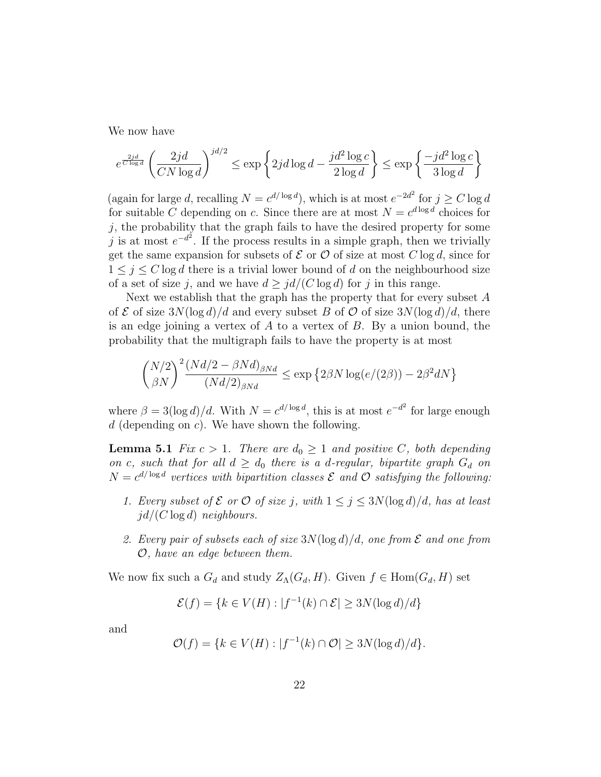We now have

$$
e^{\frac{2jd}{C\log d}}\left(\frac{2jd}{CN\log d}\right)^{jd/2} \le \exp\left\{2jd\log d - \frac{jd^2\log c}{2\log d}\right\} \le \exp\left\{\frac{-jd^2\log c}{3\log d}\right\}
$$

(again for large d, recalling  $N = c^{d/\log d}$ ), which is at most  $e^{-2d^2}$  for  $j \ge C \log d$ for suitable C depending on c. Since there are at most  $N = c^{d \log d}$  choices for  $j$ , the probability that the graph fails to have the desired property for some j is at most  $e^{-d^2}$ . If the process results in a simple graph, then we trivially get the same expansion for subsets of  $\mathcal E$  or  $\mathcal O$  of size at most  $C \log d$ , since for  $1 \leq j \leq C \log d$  there is a trivial lower bound of d on the neighbourhood size of a set of size j, and we have  $d > \frac{id}{C \log d}$  for j in this range.

Next we establish that the graph has the property that for every subset  $A$ of  $\mathcal E$  of size  $3N(\log d)/d$  and every subset B of  $\mathcal O$  of size  $3N(\log d)/d$ , there is an edge joining a vertex of  $A$  to a vertex of  $B$ . By a union bound, the probability that the multigraph fails to have the property is at most

$$
\binom{N/2}{\beta N}^2 \frac{(Nd/2 - \beta Nd)_{\beta Nd}}{(Nd/2)_{\beta Nd}} \le \exp \left\{ 2\beta N \log(e/(2\beta)) - 2\beta^2 dN \right\}
$$

where  $\beta = 3(\log d)/d$ . With  $N = c^{d/\log d}$ , this is at most  $e^{-d^2}$  for large enough  $d$  (depending on c). We have shown the following.

**Lemma 5.1** Fix  $c > 1$ . There are  $d_0 \geq 1$  and positive C, both depending on c, such that for all  $d \geq d_0$  there is a d-regular, bipartite graph  $G_d$  on  $N = c^{d/\log d}$  vertices with bipartition classes  $\mathcal E$  and  $\mathcal O$  satisfying the following:

- 1. Every subset of  $\mathcal E$  or  $\mathcal O$  of size j, with  $1 \leq j \leq 3N(\log d)/d$ , has at least  $id/(C \log d)$  neighbours.
- 2. Every pair of subsets each of size  $3N(\log d)/d$ , one from  $\mathcal E$  and one from O, have an edge between them.

We now fix such a  $G_d$  and study  $Z_\Lambda(G_d, H)$ . Given  $f \in \text{Hom}(G_d, H)$  set

$$
\mathcal{E}(f) = \{k \in V(H) : |f^{-1}(k) \cap \mathcal{E}| \ge 3N(\log d)/d\}
$$

and

$$
\mathcal{O}(f) = \{ k \in V(H) : |f^{-1}(k) \cap \mathcal{O}| \ge 3N(\log d)/d \}.
$$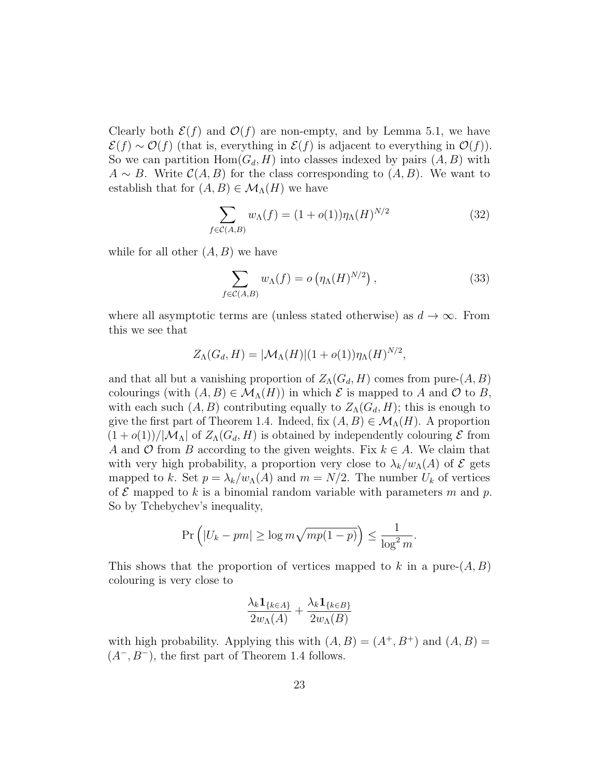Clearly both  $\mathcal{E}(f)$  and  $\mathcal{O}(f)$  are non-empty, and by Lemma 5.1, we have  $\mathcal{E}(f) \sim \mathcal{O}(f)$  (that is, everything in  $\mathcal{E}(f)$  is adjacent to everything in  $\mathcal{O}(f)$ ). So we can partition  $Hom(G_d, H)$  into classes indexed by pairs  $(A, B)$  with  $A \sim B$ . Write  $\mathcal{C}(A, B)$  for the class corresponding to  $(A, B)$ . We want to establish that for  $(A, B) \in \mathcal{M}_{\Lambda}(H)$  we have

$$
\sum_{f \in \mathcal{C}(A,B)} w_{\Lambda}(f) = (1 + o(1)) \eta_{\Lambda}(H)^{N/2}
$$
 (32)

while for all other  $(A, B)$  we have

$$
\sum_{f \in \mathcal{C}(A,B)} w_{\Lambda}(f) = o\left(\eta_{\Lambda}(H)^{N/2}\right),\tag{33}
$$

where all asymptotic terms are (unless stated otherwise) as  $d \to \infty$ . From this we see that

$$
Z_{\Lambda}(G_d, H) = |\mathcal{M}_{\Lambda}(H)|(1 + o(1))\eta_{\Lambda}(H)^{N/2},
$$

and that all but a vanishing proportion of  $Z_A(G_d, H)$  comes from pure- $(A, B)$ colourings (with  $(A, B) \in \mathcal{M}_{\Lambda}(H)$ ) in which  $\mathcal E$  is mapped to A and  $\mathcal O$  to B, with each such  $(A, B)$  contributing equally to  $Z<sub>\Lambda</sub>(G<sub>d</sub>, H)$ ; this is enough to give the first part of Theorem 1.4. Indeed, fix  $(A, B) \in \mathcal{M}_{\Lambda}(H)$ . A proportion  $(1+o(1))/|\mathcal{M}_\Lambda|$  of  $Z_\Lambda(G_d, H)$  is obtained by independently colouring  $\mathcal E$  from A and O from B according to the given weights. Fix  $k \in A$ . We claim that with very high probability, a proportion very close to  $\lambda_k/w_\Lambda(A)$  of  $\mathcal E$  gets mapped to k. Set  $p = \lambda_k/w_{\Lambda}(A)$  and  $m = N/2$ . The number  $U_k$  of vertices of  $\mathcal E$  mapped to k is a binomial random variable with parameters m and p. So by Tchebychev's inequality,

$$
\Pr\left(|U_k - pm| \ge \log m \sqrt{mp(1-p)}\right) \le \frac{1}{\log^2 m}.
$$

This shows that the proportion of vertices mapped to k in a pure- $(A, B)$ colouring is very close to

$$
\frac{\lambda_k \mathbf{1}_{\{k \in A\}}}{2w_\Lambda(A)} + \frac{\lambda_k \mathbf{1}_{\{k \in B\}}}{2w_\Lambda(B)}
$$

with high probability. Applying this with  $(A, B) = (A^+, B^+)$  and  $(A, B) =$  $(A^-, B^-)$ , the first part of Theorem 1.4 follows.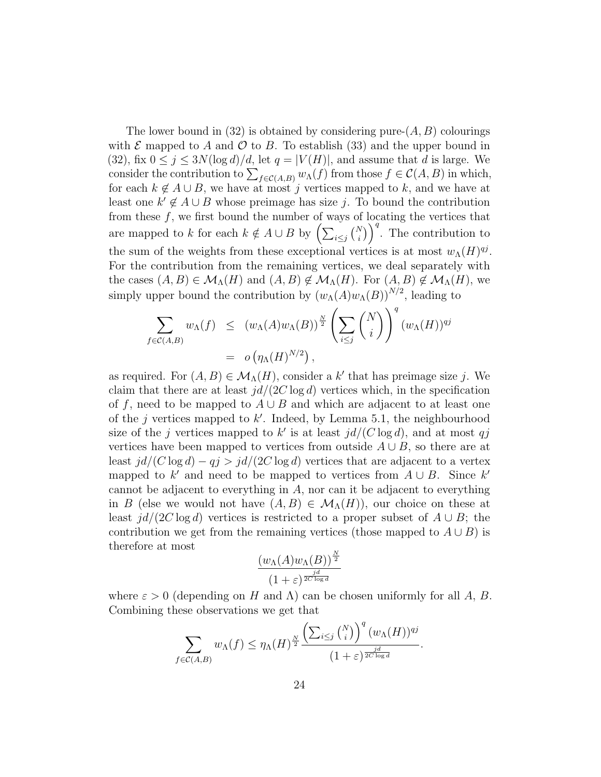The lower bound in (32) is obtained by considering pure- $(A, B)$  colourings with  $\mathcal E$  mapped to A and  $\mathcal O$  to B. To establish (33) and the upper bound in (32), fix  $0 \le j \le 3N(\log d)/d$ , let  $q = |V(H)|$ , and assume that d is large. We consider the contribution to  $\sum_{f \in \mathcal{C}(A,B)} w_{\Lambda}(f)$  from those  $f \in \mathcal{C}(A,B)$  in which, for each  $k \notin A \cup B$ , we have at most j vertices mapped to k, and we have at least one  $k' \notin A \cup B$  whose preimage has size j. To bound the contribution from these  $f$ , we first bound the number of ways of locating the vertices that are mapped to k for each  $k \notin A \cup B$  by  $\left(\sum_{i \leq j} {N \choose i}\right)^q$ . The contribution to the sum of the weights from these exceptional vertices is at most  $w_{\Lambda}(H)^{qj}$ . For the contribution from the remaining vertices, we deal separately with the cases  $(A, B) \in \mathcal{M}_{\Lambda}(H)$  and  $(A, B) \notin \mathcal{M}_{\Lambda}(H)$ . For  $(A, B) \notin \mathcal{M}_{\Lambda}(H)$ , we simply upper bound the contribution by  $(w_{\Lambda}(A)w_{\Lambda}(B))^{N/2}$ , leading to

$$
\sum_{f \in \mathcal{C}(A,B)} w_{\Lambda}(f) \le (w_{\Lambda}(A)w_{\Lambda}(B))^{\frac{N}{2}} \left(\sum_{i \le j} {N \choose i}\right)^{q} (w_{\Lambda}(H))^{qj}
$$
  
=  $o \left(\eta_{\Lambda}(H)^{N/2}\right),$ 

as required. For  $(A, B) \in \mathcal{M}_{\Lambda}(H)$ , consider a k' that has preimage size j. We claim that there are at least  $id/(2C \log d)$  vertices which, in the specification of f, need to be mapped to  $A \cup B$  and which are adjacent to at least one of the j vertices mapped to  $k'$ . Indeed, by Lemma 5.1, the neighbourhood size of the j vertices mapped to k' is at least  $jd/(C \log d)$ , and at most qj vertices have been mapped to vertices from outside  $A \cup B$ , so there are at least  $jd/(C \log d) - qj > jd/(2C \log d)$  vertices that are adjacent to a vertex mapped to  $k'$  and need to be mapped to vertices from  $A \cup B$ . Since  $k'$ cannot be adjacent to everything in A, nor can it be adjacent to everything in B (else we would not have  $(A, B) \in \mathcal{M}_{\Lambda}(H)$ ), our choice on these at least  $j d/(2C \log d)$  vertices is restricted to a proper subset of  $A \cup B$ ; the contribution we get from the remaining vertices (those mapped to  $A \cup B$ ) is therefore at most

$$
\frac{(w_{\Lambda}(A)w_{\Lambda}(B))^{\frac{N}{2}}}{(1+\varepsilon)^{\frac{jd}{2C\log d}}}
$$

where  $\varepsilon > 0$  (depending on H and  $\Lambda$ ) can be chosen uniformly for all A, B. Combining these observations we get that

$$
\sum_{f \in \mathcal{C}(A,B)} w_{\Lambda}(f) \le \eta_{\Lambda}(H)^{\frac{N}{2}} \frac{\left(\sum_{i \le j} {N \choose i} \right)^{q} (w_{\Lambda}(H))^{qj}}{(1+\varepsilon)^{\frac{j}{2C \log d}}}
$$

.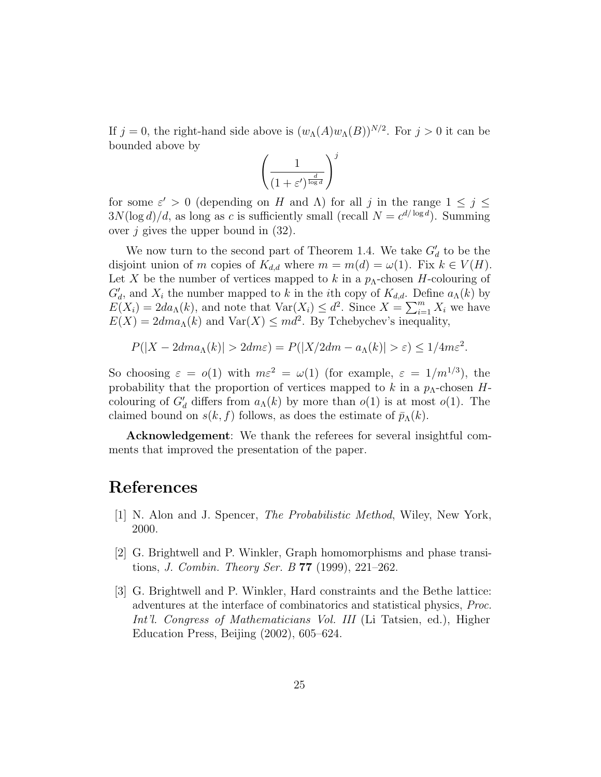If  $j = 0$ , the right-hand side above is  $(w_{\Lambda}(A)w_{\Lambda}(B))^{N/2}$ . For  $j > 0$  it can be bounded above by

$$
\left(\frac{1}{(1+\varepsilon')^{\frac{d}{\log d}}}\right)^j
$$

for some  $\varepsilon' > 0$  (depending on H and  $\Lambda$ ) for all j in the range  $1 \leq j \leq$  $3N(\log d)/d$ , as long as c is sufficiently small (recall  $N = c^{d/\log d}$ ). Summing over  $j$  gives the upper bound in  $(32)$ .

We now turn to the second part of Theorem 1.4. We take  $G_d$  to be the disjoint union of m copies of  $K_{d,d}$  where  $m = m(d) = \omega(1)$ . Fix  $k \in V(H)$ . Let X be the number of vertices mapped to k in a  $p_{\Lambda}$ -chosen H-colouring of  $G'_d$ , and  $X_i$  the number mapped to k in the *i*th copy of  $K_{d,d}$ . Define  $a_{\Lambda}(k)$  by  $E(X_i) = 2da_\Lambda(k)$ , and note that  $Var(X_i) \leq d^2$ . Since  $X = \sum_{i=1}^m X_i$  we have  $E(X) = 2dm\alpha_{\Lambda}(k)$  and  $Var(X) \leq md^2$ . By Tchebychev's inequality,

$$
P(|X - 2dm\alpha_{\Lambda}(k)| > 2dm\varepsilon) = P(|X/2dm - \alpha_{\Lambda}(k)| > \varepsilon) \le 1/4m\varepsilon^2.
$$

So choosing  $\varepsilon = o(1)$  with  $m\varepsilon^2 = \omega(1)$  (for example,  $\varepsilon = 1/m^{1/3}$ ), the probability that the proportion of vertices mapped to k in a  $p_{\Lambda}$ -chosen Hcolouring of  $G'_d$  differs from  $a_{\Lambda}(k)$  by more than  $o(1)$  is at most  $o(1)$ . The claimed bound on  $s(k, f)$  follows, as does the estimate of  $\bar{p}_{\Lambda}(k)$ .

Acknowledgement: We thank the referees for several insightful comments that improved the presentation of the paper.

#### References

- [1] N. Alon and J. Spencer, The Probabilistic Method, Wiley, New York, 2000.
- [2] G. Brightwell and P. Winkler, Graph homomorphisms and phase transitions, *J. Combin. Theory Ser. B* **77** (1999), 221–262.
- [3] G. Brightwell and P. Winkler, Hard constraints and the Bethe lattice: adventures at the interface of combinatorics and statistical physics, Proc. Int'l. Congress of Mathematicians Vol. III (Li Tatsien, ed.), Higher Education Press, Beijing (2002), 605–624.